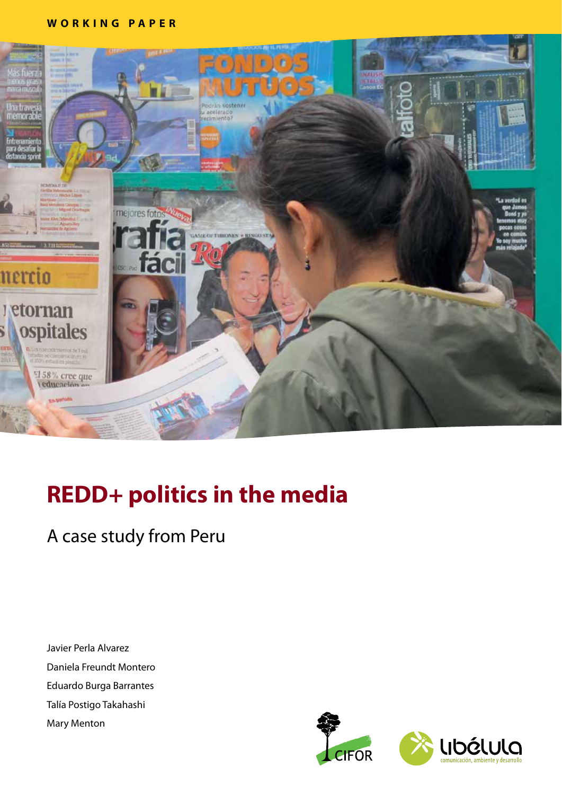### **WORKING PAPER**



# **REDD+ politics in the media**

### A case study from Peru

Javier Perla Alvarez Daniela Freundt Montero Eduardo Burga Barrantes Talía Postigo Takahashi Mary Menton

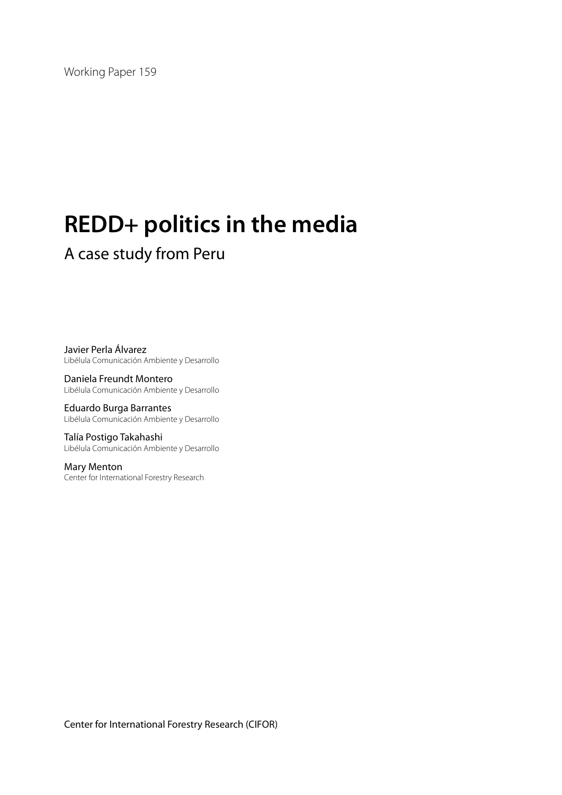Working Paper 159

# **REDD+ politics in the media**

### A case study from Peru

Javier Perla Álvarez Libélula Comunicación Ambiente y Desarrollo

Daniela Freundt Montero Libélula Comunicación Ambiente y Desarrollo

Eduardo Burga Barrantes Libélula Comunicación Ambiente y Desarrollo

Talía Postigo Takahashi Libélula Comunicación Ambiente y Desarrollo

Mary Menton Center for International Forestry Research

Center for International Forestry Research (CIFOR)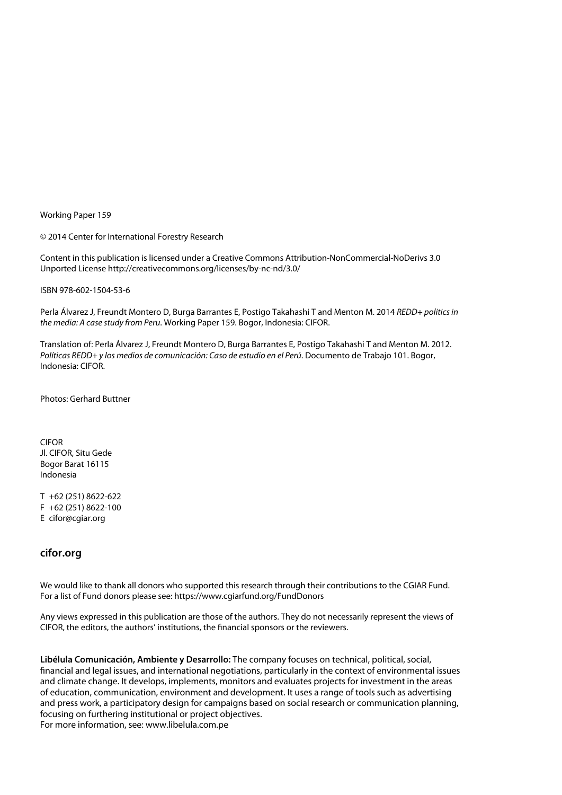Working Paper 159

© 2014 Center for International Forestry Research

Content in this publication is licensed under a Creative Commons Attribution-NonCommercial-NoDerivs 3.0 Unported License http://creativecommons.org/licenses/by-nc-nd/3.0/

ISBN 978-602-1504-53-6

Perla Álvarez J, Freundt Montero D, Burga Barrantes E, Postigo Takahashi T and Menton M. 2014 *REDD+ politics in the media: A case study from Peru*. Working Paper 159. Bogor, Indonesia: CIFOR.

Translation of: Perla Álvarez J, Freundt Montero D, Burga Barrantes E, Postigo Takahashi T and Menton M. 2012. *Políticas REDD+ y los medios de comunicación: Caso de estudio en el Perú*. Documento de Trabajo 101. Bogor, Indonesia: CIFOR.

Photos: Gerhard Buttner

CIFOR Jl. CIFOR, Situ Gede Bogor Barat 16115 Indonesia

T +62 (251) 8622-622 F +62 (251) 8622-100 E cifor@cgiar.org

#### **cifor.org**

We would like to thank all donors who supported this research through their contributions to the CGIAR Fund. For a list of Fund donors please see: https://www.cgiarfund.org/FundDonors

Any views expressed in this publication are those of the authors. They do not necessarily represent the views of CIFOR, the editors, the authors' institutions, the financial sponsors or the reviewers.

**Libélula Comunicación, Ambiente y Desarrollo:** The company focuses on technical, political, social, financial and legal issues, and international negotiations, particularly in the context of environmental issues and climate change. It develops, implements, monitors and evaluates projects for investment in the areas of education, communication, environment and development. It uses a range of tools such as advertising and press work, a participatory design for campaigns based on social research or communication planning, focusing on furthering institutional or project objectives. For more information, see: [www.libelula.com.pe](http://www.libelula.com.pe)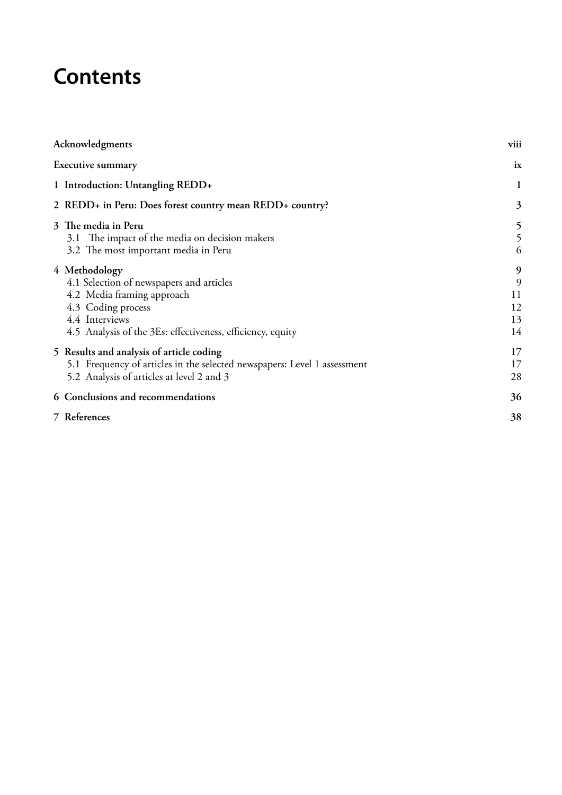# **Contents**

| Acknowledgments                                                                                                                                                                               | viii                           |
|-----------------------------------------------------------------------------------------------------------------------------------------------------------------------------------------------|--------------------------------|
| <b>Executive summary</b>                                                                                                                                                                      | ix                             |
| 1 Introduction: Untangling REDD+                                                                                                                                                              | 1                              |
| 2 REDD+ in Peru: Does forest country mean REDD+ country?                                                                                                                                      | 3                              |
| 3 The media in Peru<br>3.1 The impact of the media on decision makers<br>3.2 The most important media in Peru                                                                                 | 5<br>5<br>6                    |
| 4 Methodology<br>4.1 Selection of newspapers and articles<br>4.2 Media framing approach<br>4.3 Coding process<br>4.4 Interviews<br>4.5 Analysis of the 3Es: effectiveness, efficiency, equity | 9<br>9<br>11<br>12<br>13<br>14 |
| 5 Results and analysis of article coding<br>5.1 Frequency of articles in the selected newspapers: Level 1 assessment<br>5.2 Analysis of articles at level 2 and 3                             | 17<br>17<br>28                 |
| 6 Conclusions and recommendations                                                                                                                                                             | 36                             |
| 7 References                                                                                                                                                                                  | 38                             |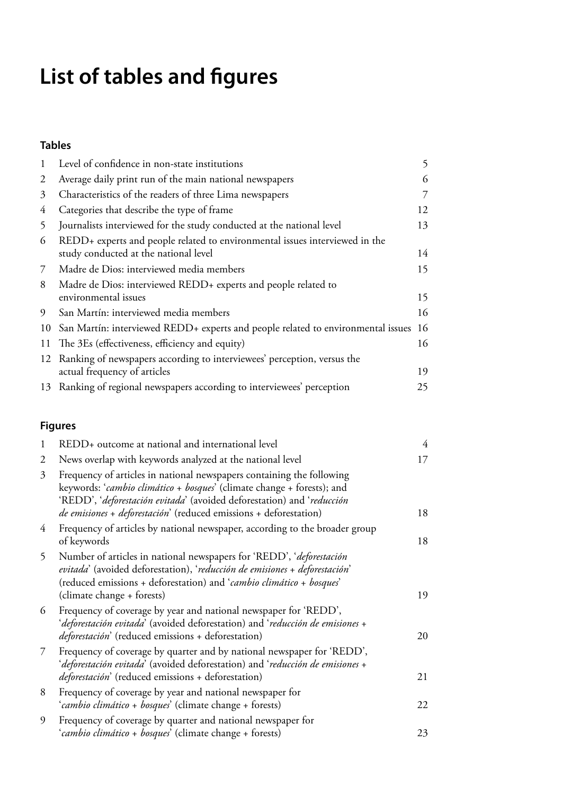# **List of tables and figures**

### **Tables**

| $\mathbf{1}$   | Level of confidence in non-state institutions                                                                                                                                                                                                                                                  | 5              |
|----------------|------------------------------------------------------------------------------------------------------------------------------------------------------------------------------------------------------------------------------------------------------------------------------------------------|----------------|
| $\overline{2}$ | Average daily print run of the main national newspapers                                                                                                                                                                                                                                        | 6              |
| 3              | Characteristics of the readers of three Lima newspapers                                                                                                                                                                                                                                        | $\overline{7}$ |
| 4              | Categories that describe the type of frame                                                                                                                                                                                                                                                     | 12             |
| 5              | Journalists interviewed for the study conducted at the national level                                                                                                                                                                                                                          | 13             |
| 6              | REDD+ experts and people related to environmental issues interviewed in the<br>study conducted at the national level                                                                                                                                                                           | 14             |
| 7              | Madre de Dios: interviewed media members                                                                                                                                                                                                                                                       | 15             |
| 8              | Madre de Dios: interviewed REDD+ experts and people related to<br>environmental issues                                                                                                                                                                                                         | 15             |
| 9              | San Martín: interviewed media members                                                                                                                                                                                                                                                          | 16             |
| 10             | San Martín: interviewed REDD+ experts and people related to environmental issues                                                                                                                                                                                                               | 16             |
| 11             | The 3Es (effectiveness, efficiency and equity)                                                                                                                                                                                                                                                 | 16             |
| 12             | Ranking of newspapers according to interviewees' perception, versus the<br>actual frequency of articles                                                                                                                                                                                        | 19             |
| 13             | Ranking of regional newspapers according to interviewees' perception                                                                                                                                                                                                                           | 25             |
|                | <b>Figures</b>                                                                                                                                                                                                                                                                                 |                |
| 1              | REDD+ outcome at national and international level                                                                                                                                                                                                                                              | $\overline{4}$ |
| $\overline{c}$ | News overlap with keywords analyzed at the national level                                                                                                                                                                                                                                      | 17             |
| 3              | Frequency of articles in national newspapers containing the following<br>keywords: 'cambio climático + bosques' (climate change + forests); and<br>'REDD', 'deforestación evitada' (avoided deforestation) and 'reducción<br>de emisiones + deforestación' (reduced emissions + deforestation) | 18             |
| 4              | Frequency of articles by national newspaper, according to the broader group                                                                                                                                                                                                                    |                |
|                | of keywords                                                                                                                                                                                                                                                                                    | 18             |
| 5              | Number of articles in national newspapers for 'REDD', 'deforestación<br>evitada' (avoided deforestation), 'reducción de emisiones + deforestación'<br>(reduced emissions + deforestation) and 'cambio climático + bosques'                                                                     | 19             |
| 6              | (climate change + forests)<br>Frequency of coverage by year and national newspaper for 'REDD',<br>'deforestación evitada' (avoided deforestation) and 'reducción de emisiones +                                                                                                                |                |
|                | deforestación' (reduced emissions + deforestation)                                                                                                                                                                                                                                             | 20             |

7 [Frequency of coverage by quarter and by national newspaper for 'REDD',](#page-32-0) '*deforestación evitada*[' \(avoided deforestation\) and '](#page-32-0)*reducción de emisiones* + *deforestación*[' \(reduced emissions + deforestation\)](#page-32-0) 21 8 [Frequency of coverage by year and national newspaper for](#page-33-0) 

| O. | requency of coverage by year and national newspaper for        |    |
|----|----------------------------------------------------------------|----|
|    | <i>'cambio climático + bosques'</i> (climate change + forests) | 22 |
|    | Frequency of coverage by quarter and national newspaper for    |    |
|    | 'cambio climático + bosques' (climate change + forests)        | 23 |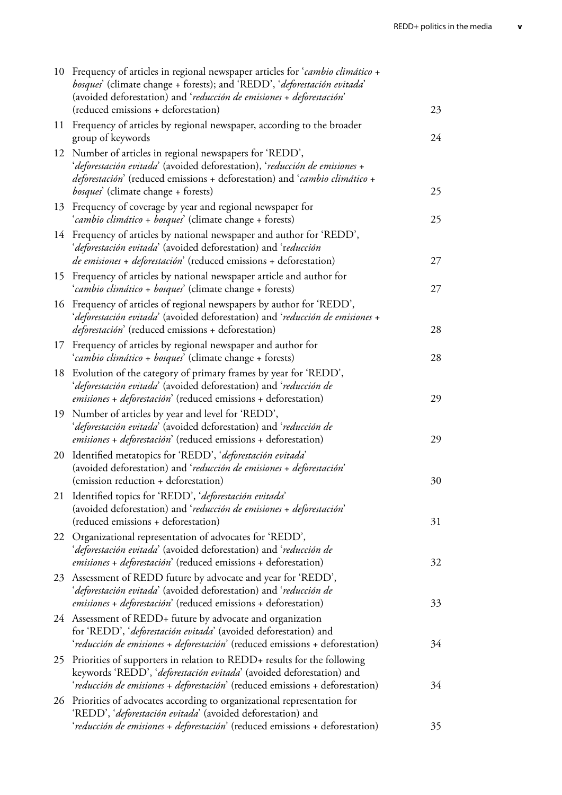|    | 10 Frequency of articles in regional newspaper articles for 'cambio climático +<br>bosques' (climate change + forests); and 'REDD', 'deforestación evitada'<br>(avoided deforestation) and 'reducción de emisiones + deforestación'<br>(reduced emissions + deforestation) | 23 |
|----|----------------------------------------------------------------------------------------------------------------------------------------------------------------------------------------------------------------------------------------------------------------------------|----|
|    | 11 Frequency of articles by regional newspaper, according to the broader<br>group of keywords                                                                                                                                                                              | 24 |
| 12 | Number of articles in regional newspapers for 'REDD',<br>'deforestación evitada' (avoided deforestation), 'reducción de emisiones +<br>deforestación' (reduced emissions + deforestation) and 'cambio climático +<br><i>bosques'</i> (climate change + forests)            | 25 |
| 13 | Frequency of coverage by year and regional newspaper for<br>'cambio climático + bosques' (climate change + forests)                                                                                                                                                        | 25 |
| 14 | Frequency of articles by national newspaper and author for 'REDD',<br>'deforestación evitada' (avoided deforestation) and 'reducción<br>de emisiones + deforestación' (reduced emissions + deforestation)                                                                  | 27 |
| 15 | Frequency of articles by national newspaper article and author for<br>'cambio climático + bosques' (climate change + forests)                                                                                                                                              | 27 |
|    | 16 Frequency of articles of regional newspapers by author for 'REDD',<br>'deforestación evitada' (avoided deforestation) and 'reducción de emisiones +<br><i>deforestación</i> ' (reduced emissions + deforestation)                                                       | 28 |
| 17 | Frequency of articles by regional newspaper and author for<br>'cambio climático + bosques' (climate change + forests)                                                                                                                                                      | 28 |
| 18 | Evolution of the category of primary frames by year for 'REDD',<br>'deforestación evitada' (avoided deforestation) and 'reducción de<br>emisiones + deforestación' (reduced emissions + deforestation)                                                                     | 29 |
| 19 | Number of articles by year and level for 'REDD',<br>'deforestación evitada' (avoided deforestation) and 'reducción de<br>emisiones + deforestación' (reduced emissions + deforestation)                                                                                    | 29 |
| 20 | Identified metatopics for 'REDD', 'deforestación evitada'<br>(avoided deforestation) and 'reducción de emisiones + deforestación'<br>(emission reduction + deforestation)                                                                                                  | 30 |
| 21 | Identified topics for 'REDD', 'deforestación evitada'<br>(avoided deforestation) and 'reducción de emisiones + deforestación'<br>(reduced emissions + deforestation)                                                                                                       | 31 |
| 22 | Organizational representation of advocates for 'REDD',<br><i>'deforestación evitada'</i> (avoided deforestation) and 'reducción de<br><i>emisiones + deforestación</i> ' (reduced emissions + deforestation)                                                               | 32 |
| 23 | Assessment of REDD future by advocate and year for 'REDD',<br>'deforestación evitada' (avoided deforestation) and 'reducción de<br>emisiones + deforestación' (reduced emissions + deforestation)                                                                          | 33 |
|    | 24 Assessment of REDD+ future by advocate and organization<br>for 'REDD', 'deforestación evitada' (avoided deforestation) and<br>'reducción de emisiones + deforestación' (reduced emissions + deforestation)                                                              | 34 |
| 25 | Priorities of supporters in relation to REDD+ results for the following<br>keywords 'REDD', 'deforestación evitada' (avoided deforestation) and<br>'reducción de emisiones + deforestación' (reduced emissions + deforestation)                                            | 34 |
| 26 | Priorities of advocates according to organizational representation for<br>'REDD', 'deforestación evitada' (avoided deforestation) and<br>'reducción de emisiones + deforestación' (reduced emissions + deforestation)                                                      | 35 |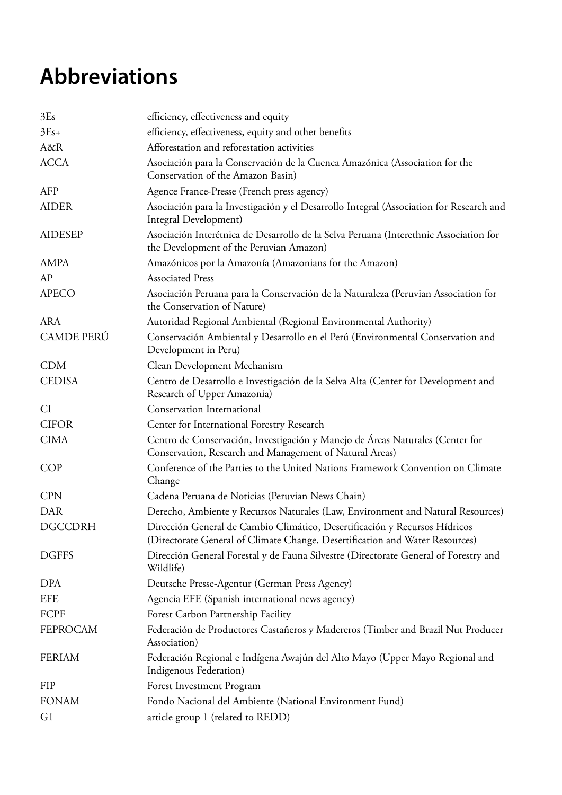# **Abbreviations**

| 3Es               | efficiency, effectiveness and equity                                                                                                                       |
|-------------------|------------------------------------------------------------------------------------------------------------------------------------------------------------|
| $3Es+$            | efficiency, effectiveness, equity and other benefits                                                                                                       |
| A&R               | Afforestation and reforestation activities                                                                                                                 |
| <b>ACCA</b>       | Asociación para la Conservación de la Cuenca Amazónica (Association for the<br>Conservation of the Amazon Basin)                                           |
| <b>AFP</b>        | Agence France-Presse (French press agency)                                                                                                                 |
| <b>AIDER</b>      | Asociación para la Investigación y el Desarrollo Integral (Association for Research and<br>Integral Development)                                           |
| <b>AIDESEP</b>    | Asociación Interétnica de Desarrollo de la Selva Peruana (Interethnic Association for<br>the Development of the Peruvian Amazon)                           |
| <b>AMPA</b>       | Amazónicos por la Amazonía (Amazonians for the Amazon)                                                                                                     |
| AP                | <b>Associated Press</b>                                                                                                                                    |
| <b>APECO</b>      | Asociación Peruana para la Conservación de la Naturaleza (Peruvian Association for<br>the Conservation of Nature)                                          |
| <b>ARA</b>        | Autoridad Regional Ambiental (Regional Environmental Authority)                                                                                            |
| <b>CAMDE PERÚ</b> | Conservación Ambiental y Desarrollo en el Perú (Environmental Conservation and<br>Development in Peru)                                                     |
| <b>CDM</b>        | Clean Development Mechanism                                                                                                                                |
| <b>CEDISA</b>     | Centro de Desarrollo e Investigación de la Selva Alta (Center for Development and<br>Research of Upper Amazonia)                                           |
| <b>CI</b>         | <b>Conservation International</b>                                                                                                                          |
| <b>CIFOR</b>      | Center for International Forestry Research                                                                                                                 |
| <b>CIMA</b>       | Centro de Conservación, Investigación y Manejo de Áreas Naturales (Center for<br>Conservation, Research and Management of Natural Areas)                   |
| <b>COP</b>        | Conference of the Parties to the United Nations Framework Convention on Climate<br>Change                                                                  |
| <b>CPN</b>        | Cadena Peruana de Noticias (Peruvian News Chain)                                                                                                           |
| <b>DAR</b>        | Derecho, Ambiente y Recursos Naturales (Law, Environment and Natural Resources)                                                                            |
| <b>DGCCDRH</b>    | Dirección General de Cambio Climático, Desertificación y Recursos Hídricos<br>(Directorate General of Climate Change, Desertification and Water Resources) |
| <b>DGFFS</b>      | Dirección General Forestal y de Fauna Silvestre (Directorate General of Forestry and<br>Wildlife)                                                          |
| DPA               | Deutsche Presse-Agentur (German Press Agency)                                                                                                              |
| <b>EFE</b>        | Agencia EFE (Spanish international news agency)                                                                                                            |
| FCPF              | Forest Carbon Partnership Facility                                                                                                                         |
| <b>FEPROCAM</b>   | Federación de Productores Castañeros y Madereros (Timber and Brazil Nut Producer<br>Association)                                                           |
| <b>FERIAM</b>     | Federación Regional e Indígena Awajún del Alto Mayo (Upper Mayo Regional and<br>Indigenous Federation)                                                     |
| <b>FIP</b>        | Forest Investment Program                                                                                                                                  |
| <b>FONAM</b>      | Fondo Nacional del Ambiente (National Environment Fund)                                                                                                    |
| G <sub>1</sub>    | article group 1 (related to REDD)                                                                                                                          |
|                   |                                                                                                                                                            |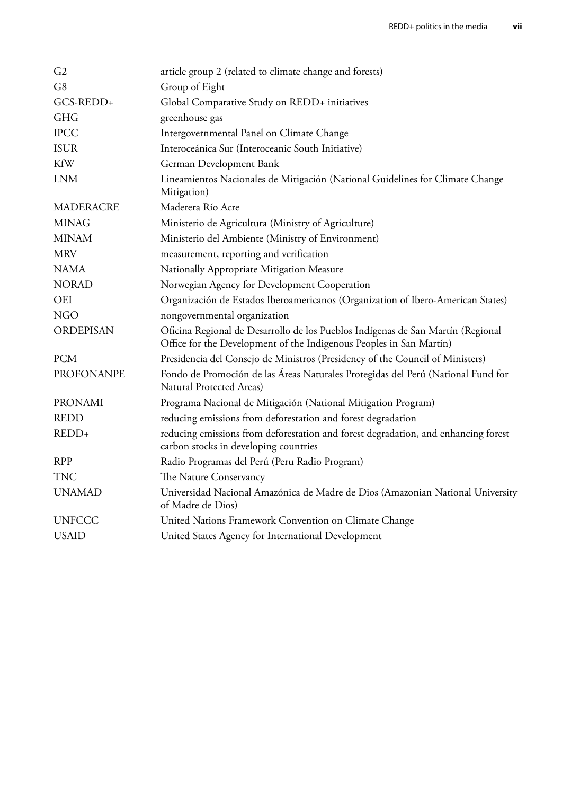| G2                | article group 2 (related to climate change and forests)                                                                                                |
|-------------------|--------------------------------------------------------------------------------------------------------------------------------------------------------|
| G8                | Group of Eight                                                                                                                                         |
| GCS-REDD+         | Global Comparative Study on REDD+ initiatives                                                                                                          |
| <b>GHG</b>        | greenhouse gas                                                                                                                                         |
| <b>IPCC</b>       | Intergovernmental Panel on Climate Change                                                                                                              |
| <b>ISUR</b>       | Interoceánica Sur (Interoceanic South Initiative)                                                                                                      |
| <b>KfW</b>        | German Development Bank                                                                                                                                |
| <b>LNM</b>        | Lineamientos Nacionales de Mitigación (National Guidelines for Climate Change<br>Mitigation)                                                           |
| <b>MADERACRE</b>  | Maderera Río Acre                                                                                                                                      |
| <b>MINAG</b>      | Ministerio de Agricultura (Ministry of Agriculture)                                                                                                    |
| <b>MINAM</b>      | Ministerio del Ambiente (Ministry of Environment)                                                                                                      |
| <b>MRV</b>        | measurement, reporting and verification                                                                                                                |
| <b>NAMA</b>       | Nationally Appropriate Mitigation Measure                                                                                                              |
| <b>NORAD</b>      | Norwegian Agency for Development Cooperation                                                                                                           |
| <b>OEI</b>        | Organización de Estados Iberoamericanos (Organization of Ibero-American States)                                                                        |
| <b>NGO</b>        | nongovernmental organization                                                                                                                           |
| <b>ORDEPISAN</b>  | Oficina Regional de Desarrollo de los Pueblos Indígenas de San Martín (Regional<br>Office for the Development of the Indigenous Peoples in San Martín) |
| <b>PCM</b>        | Presidencia del Consejo de Ministros (Presidency of the Council of Ministers)                                                                          |
| <b>PROFONANPE</b> | Fondo de Promoción de las Áreas Naturales Protegidas del Perú (National Fund for<br>Natural Protected Areas)                                           |
| <b>PRONAMI</b>    | Programa Nacional de Mitigación (National Mitigation Program)                                                                                          |
| <b>REDD</b>       | reducing emissions from deforestation and forest degradation                                                                                           |
| REDD+             | reducing emissions from deforestation and forest degradation, and enhancing forest<br>carbon stocks in developing countries                            |
| <b>RPP</b>        | Radio Programas del Perú (Peru Radio Program)                                                                                                          |
| <b>TNC</b>        | The Nature Conservancy                                                                                                                                 |
| <b>UNAMAD</b>     | Universidad Nacional Amazónica de Madre de Dios (Amazonian National University<br>of Madre de Dios)                                                    |
| <b>UNFCCC</b>     | United Nations Framework Convention on Climate Change                                                                                                  |
| <b>USAID</b>      | United States Agency for International Development                                                                                                     |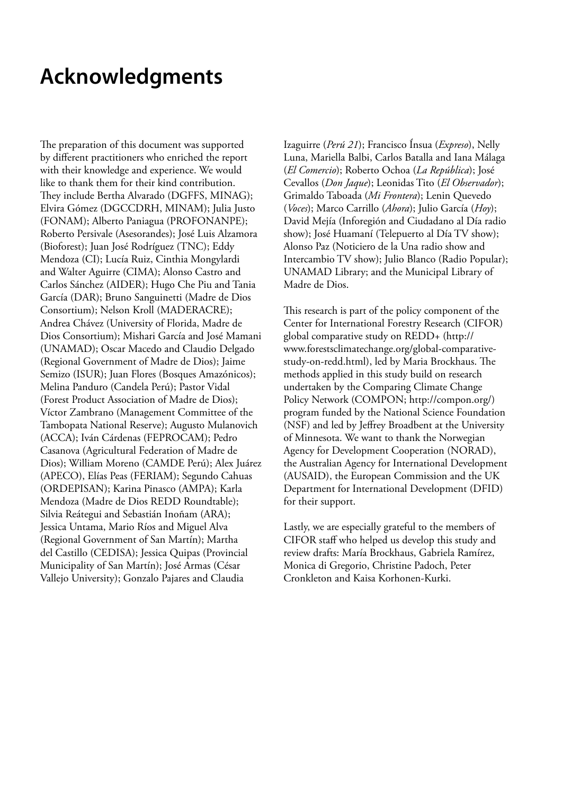# <span id="page-9-0"></span>**Acknowledgments**

The preparation of this document was supported by different practitioners who enriched the report with their knowledge and experience. We would like to thank them for their kind contribution. They include Bertha Alvarado (DGFFS, MINAG); Elvira Gómez (DGCCDRH, MINAM); Julia Justo (FONAM); Alberto Paniagua (PROFONANPE); Roberto Persivale (Asesorandes); José Luis Alzamora (Bioforest); Juan José Rodríguez (TNC); Eddy Mendoza (CI); Lucía Ruiz, Cinthia Mongylardi and Walter Aguirre (CIMA); Alonso Castro and Carlos Sánchez (AIDER); Hugo Che Piu and Tania García (DAR); Bruno Sanguinetti (Madre de Dios Consortium); Nelson Kroll (MADERACRE); Andrea Chávez (University of Florida, Madre de Dios Consortium); Mishari García and José Mamani (UNAMAD); Oscar Macedo and Claudio Delgado (Regional Government of Madre de Dios); Jaime Semizo (ISUR); Juan Flores (Bosques Amazónicos); Melina Panduro (Candela Perú); Pastor Vidal (Forest Product Association of Madre de Dios); Víctor Zambrano (Management Committee of the Tambopata National Reserve); Augusto Mulanovich (ACCA); Iván Cárdenas (FEPROCAM); Pedro Casanova (Agricultural Federation of Madre de Dios); William Moreno (CAMDE Perú); Alex Juárez (APECO), Elías Peas (FERIAM); Segundo Cahuas (ORDEPISAN); Karina Pinasco (AMPA); Karla Mendoza (Madre de Dios REDD Roundtable); Silvia Reátegui and Sebastián Inoñam (ARA); Jessica Untama, Mario Ríos and Miguel Alva (Regional Government of San Martín); Martha del Castillo (CEDISA); Jessica Quipas (Provincial Municipality of San Martín); José Armas (César Vallejo University); Gonzalo Pajares and Claudia

Izaguirre (*Perú 21*); Francisco Ínsua (*Expreso*), Nelly Luna, Mariella Balbi, Carlos Batalla and Iana Málaga (*El Comercio*); Roberto Ochoa (*La República*); José Cevallos (*Don Jaque*); Leonidas Tito (*El Observador*); Grimaldo Taboada (*Mi Frontera*); Lenin Quevedo (*Voces*); Marco Carrillo (*Ahora*); Julio García (*Hoy*); David Mejía (Inforegión and Ciudadano al Día radio show); José Huamaní (Telepuerto al Día TV show); Alonso Paz (Noticiero de la Una radio show and Intercambio TV show); Julio Blanco (Radio Popular); UNAMAD Library; and the Municipal Library of Madre de Dios.

This research is part of the policy component of the Center for International Forestry Research (CIFOR) global comparative study on REDD+ (http:// www.forestsclimatechange.org/global-comparativestudy-on-redd.html), led by Maria Brockhaus. The methods applied in this study build on research undertaken by the Comparing Climate Change Policy Network (COMPON; http://compon.org/) program funded by the National Science Foundation (NSF) and led by Jeffrey Broadbent at the University of Minnesota. We want to thank the Norwegian Agency for Development Cooperation (NORAD), the Australian Agency for International Development (AUSAID), the European Commission and the UK Department for International Development (DFID) for their support.

Lastly, we are especially grateful to the members of CIFOR staff who helped us develop this study and review drafts: María Brockhaus, Gabriela Ramírez, Monica di Gregorio, Christine Padoch, Peter Cronkleton and Kaisa Korhonen-Kurki.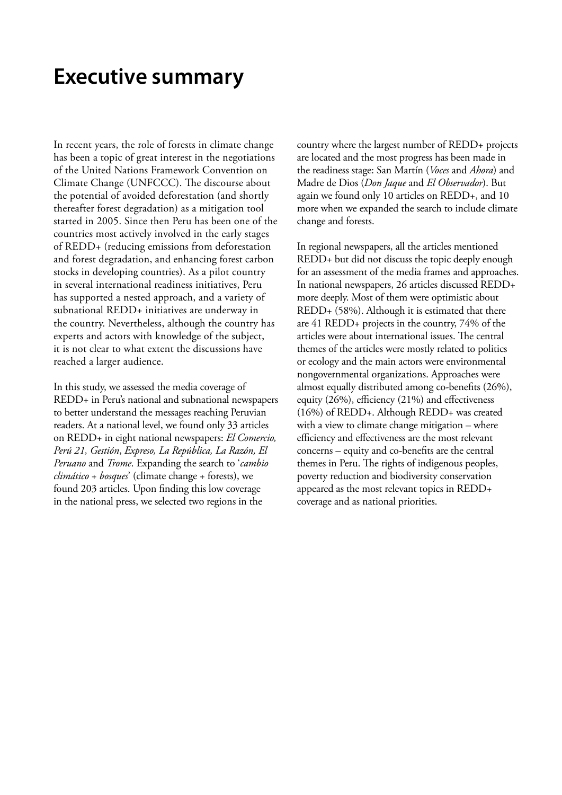### <span id="page-10-0"></span>**Executive summary**

In recent years, the role of forests in climate change has been a topic of great interest in the negotiations of the United Nations Framework Convention on Climate Change (UNFCCC). The discourse about the potential of avoided deforestation (and shortly thereafter forest degradation) as a mitigation tool started in 2005. Since then Peru has been one of the countries most actively involved in the early stages of REDD+ (reducing emissions from deforestation and forest degradation, and enhancing forest carbon stocks in developing countries). As a pilot country in several international readiness initiatives, Peru has supported a nested approach, and a variety of subnational REDD+ initiatives are underway in the country. Nevertheless, although the country has experts and actors with knowledge of the subject, it is not clear to what extent the discussions have reached a larger audience.

In this study, we assessed the media coverage of REDD+ in Peru's national and subnational newspapers to better understand the messages reaching Peruvian readers. At a national level, we found only 33 articles on REDD+ in eight national newspapers: *El Comercio, Perú 21, Gestión*, *Expreso, La República, La Razón, El Peruano* and *Trome*. Expanding the search to '*cambio climático* + *bosques*' (climate change + forests), we found 203 articles. Upon finding this low coverage in the national press, we selected two regions in the

country where the largest number of REDD+ projects are located and the most progress has been made in the readiness stage: San Martín (*Voces* and *Ahora*) and Madre de Dios (*Don Jaque* and *El Observador*). But again we found only 10 articles on REDD+, and 10 more when we expanded the search to include climate change and forests.

In regional newspapers, all the articles mentioned REDD+ but did not discuss the topic deeply enough for an assessment of the media frames and approaches. In national newspapers, 26 articles discussed REDD+ more deeply. Most of them were optimistic about REDD+ (58%). Although it is estimated that there are 41 REDD+ projects in the country, 74% of the articles were about international issues. The central themes of the articles were mostly related to politics or ecology and the main actors were environmental nongovernmental organizations. Approaches were almost equally distributed among co-benefits (26%), equity (26%), efficiency (21%) and effectiveness (16%) of REDD+. Although REDD+ was created with a view to climate change mitigation – where efficiency and effectiveness are the most relevant concerns – equity and co-benefits are the central themes in Peru. The rights of indigenous peoples, poverty reduction and biodiversity conservation appeared as the most relevant topics in REDD+ coverage and as national priorities.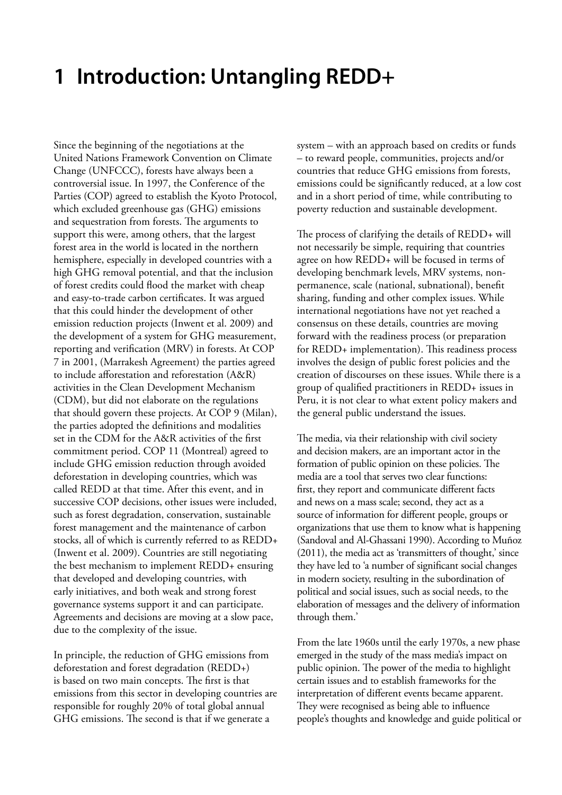# <span id="page-12-0"></span>**1 Introduction: Untangling REDD+**

Since the beginning of the negotiations at the United Nations Framework Convention on Climate Change (UNFCCC), forests have always been a controversial issue. In 1997, the Conference of the Parties (COP) agreed to establish the Kyoto Protocol, which excluded greenhouse gas (GHG) emissions and sequestration from forests. The arguments to support this were, among others, that the largest forest area in the world is located in the northern hemisphere, especially in developed countries with a high GHG removal potential, and that the inclusion of forest credits could flood the market with cheap and easy-to-trade carbon certificates. It was argued that this could hinder the development of other emission reduction projects (Inwent et al. 2009) and the development of a system for GHG measurement, reporting and verification (MRV) in forests. At COP 7 in 2001, (Marrakesh Agreement) the parties agreed to include afforestation and reforestation (A&R) activities in the Clean Development Mechanism (CDM), but did not elaborate on the regulations that should govern these projects. At COP 9 (Milan), the parties adopted the definitions and modalities set in the CDM for the A&R activities of the first commitment period. COP 11 (Montreal) agreed to include GHG emission reduction through avoided deforestation in developing countries, which was called REDD at that time. After this event, and in successive COP decisions, other issues were included, such as forest degradation, conservation, sustainable forest management and the maintenance of carbon stocks, all of which is currently referred to as REDD+ (Inwent et al. 2009). Countries are still negotiating the best mechanism to implement REDD+ ensuring that developed and developing countries, with early initiatives, and both weak and strong forest governance systems support it and can participate. Agreements and decisions are moving at a slow pace, due to the complexity of the issue.

In principle, the reduction of GHG emissions from deforestation and forest degradation (REDD+) is based on two main concepts. The first is that emissions from this sector in developing countries are responsible for roughly 20% of total global annual GHG emissions. The second is that if we generate a

system – with an approach based on credits or funds – to reward people, communities, projects and/or countries that reduce GHG emissions from forests, emissions could be significantly reduced, at a low cost and in a short period of time, while contributing to poverty reduction and sustainable development.

The process of clarifying the details of REDD+ will not necessarily be simple, requiring that countries agree on how REDD+ will be focused in terms of developing benchmark levels, MRV systems, nonpermanence, scale (national, subnational), benefit sharing, funding and other complex issues. While international negotiations have not yet reached a consensus on these details, countries are moving forward with the readiness process (or preparation for REDD+ implementation). This readiness process involves the design of public forest policies and the creation of discourses on these issues. While there is a group of qualified practitioners in REDD+ issues in Peru, it is not clear to what extent policy makers and the general public understand the issues.

The media, via their relationship with civil society and decision makers, are an important actor in the formation of public opinion on these policies. The media are a tool that serves two clear functions: first, they report and communicate different facts and news on a mass scale; second, they act as a source of information for different people, groups or organizations that use them to know what is happening (Sandoval and Al-Ghassani 1990). According to Muñoz (2011), the media act as 'transmitters of thought,' since they have led to 'a number of significant social changes in modern society, resulting in the subordination of political and social issues, such as social needs, to the elaboration of messages and the delivery of information through them.'

From the late 1960s until the early 1970s, a new phase emerged in the study of the mass media's impact on public opinion. The power of the media to highlight certain issues and to establish frameworks for the interpretation of different events became apparent. They were recognised as being able to influence people's thoughts and knowledge and guide political or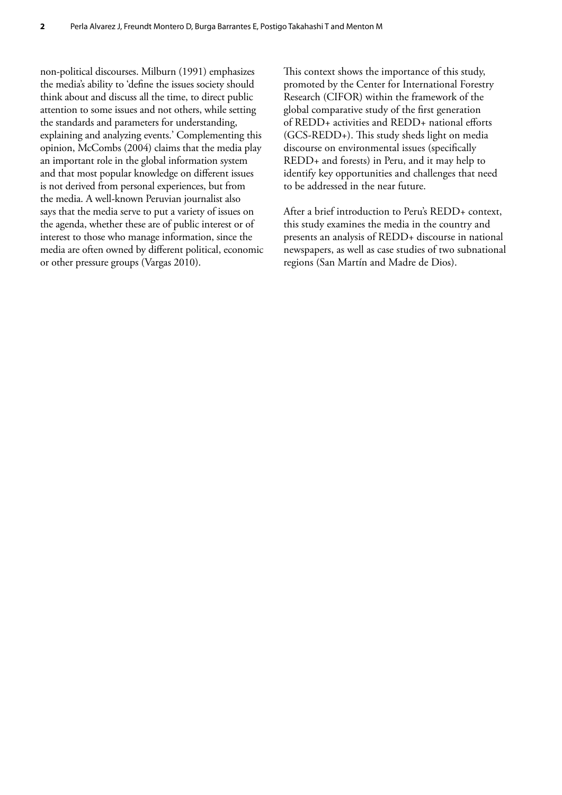non-political discourses. Milburn (1991) emphasizes the media's ability to 'define the issues society should think about and discuss all the time, to direct public attention to some issues and not others, while setting the standards and parameters for understanding, explaining and analyzing events.' Complementing this opinion, McCombs (2004) claims that the media play an important role in the global information system and that most popular knowledge on different issues is not derived from personal experiences, but from the media. A well-known Peruvian journalist also says that the media serve to put a variety of issues on the agenda, whether these are of public interest or of interest to those who manage information, since the media are often owned by different political, economic or other pressure groups (Vargas 2010).

This context shows the importance of this study, promoted by the Center for International Forestry Research (CIFOR) within the framework of the global comparative study of the first generation of REDD+ activities and REDD+ national efforts (GCS-REDD+). This study sheds light on media discourse on environmental issues (specifically REDD+ and forests) in Peru, and it may help to identify key opportunities and challenges that need to be addressed in the near future.

After a brief introduction to Peru's REDD+ context, this study examines the media in the country and presents an analysis of REDD+ discourse in national newspapers, as well as case studies of two subnational regions (San Martín and Madre de Dios).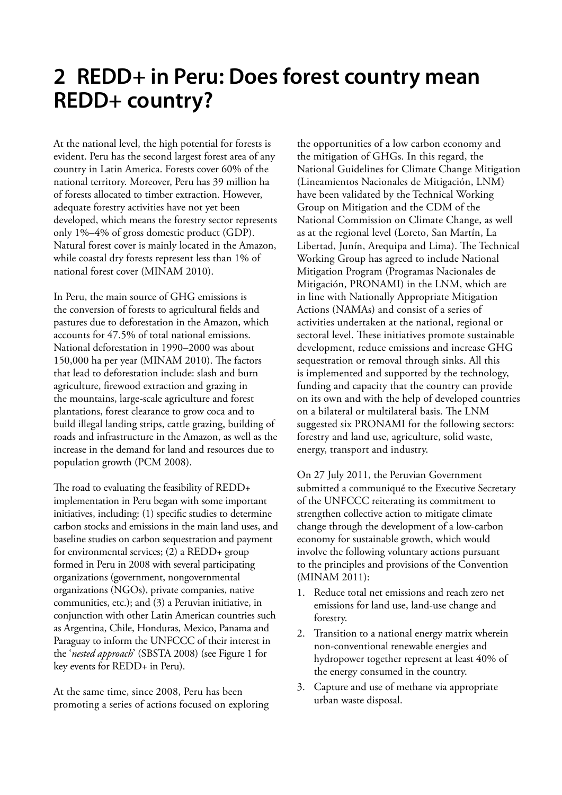## <span id="page-14-0"></span>**2 REDD+ in Peru: Does forest country mean REDD+ country?**

At the national level, the high potential for forests is evident. Peru has the second largest forest area of any country in Latin America. Forests cover 60% of the national territory. Moreover, Peru has 39 million ha of forests allocated to timber extraction. However, adequate forestry activities have not yet been developed, which means the forestry sector represents only 1%–4% of gross domestic product (GDP). Natural forest cover is mainly located in the Amazon, while coastal dry forests represent less than 1% of national forest cover (MINAM 2010).

In Peru, the main source of GHG emissions is the conversion of forests to agricultural fields and pastures due to deforestation in the Amazon, which accounts for 47.5% of total national emissions. National deforestation in 1990–2000 was about 150,000 ha per year (MINAM 2010). The factors that lead to deforestation include: slash and burn agriculture, firewood extraction and grazing in the mountains, large-scale agriculture and forest plantations, forest clearance to grow coca and to build illegal landing strips, cattle grazing, building of roads and infrastructure in the Amazon, as well as the increase in the demand for land and resources due to population growth (PCM 2008).

The road to evaluating the feasibility of REDD+ implementation in Peru began with some important initiatives, including: (1) specific studies to determine carbon stocks and emissions in the main land uses, and baseline studies on carbon sequestration and payment for environmental services; (2) a REDD+ group formed in Peru in 2008 with several participating organizations (government, nongovernmental organizations (NGOs), private companies, native communities, etc.); and (3) a Peruvian initiative, in conjunction with other Latin American countries such as Argentina, Chile, Honduras, Mexico, Panama and Paraguay to inform the UNFCCC of their interest in the '*nested approach*' (SBSTA 2008) (see Figure 1 for key events for REDD+ in Peru).

At the same time, since 2008, Peru has been promoting a series of actions focused on exploring

the opportunities of a low carbon economy and the mitigation of GHGs. In this regard, the National Guidelines for Climate Change Mitigation (Lineamientos Nacionales de Mitigación, LNM) have been validated by the Technical Working Group on Mitigation and the CDM of the National Commission on Climate Change, as well as at the regional level (Loreto, San Martín, La Libertad, Junín, Arequipa and Lima). The Technical Working Group has agreed to include National Mitigation Program (Programas Nacionales de Mitigación, PRONAMI) in the LNM, which are in line with Nationally Appropriate Mitigation Actions (NAMAs) and consist of a series of activities undertaken at the national, regional or sectoral level. These initiatives promote sustainable development, reduce emissions and increase GHG sequestration or removal through sinks. All this is implemented and supported by the technology, funding and capacity that the country can provide on its own and with the help of developed countries on a bilateral or multilateral basis. The LNM suggested six PRONAMI for the following sectors: forestry and land use, agriculture, solid waste, energy, transport and industry.

On 27 July 2011, the Peruvian Government submitted a communiqué to the Executive Secretary of the UNFCCC reiterating its commitment to strengthen collective action to mitigate climate change through the development of a low-carbon economy for sustainable growth, which would involve the following voluntary actions pursuant to the principles and provisions of the Convention (MINAM 2011):

- 1. Reduce total net emissions and reach zero net emissions for land use, land-use change and forestry.
- 2. Transition to a national energy matrix wherein non-conventional renewable energies and hydropower together represent at least 40% of the energy consumed in the country.
- 3. Capture and use of methane via appropriate urban waste disposal.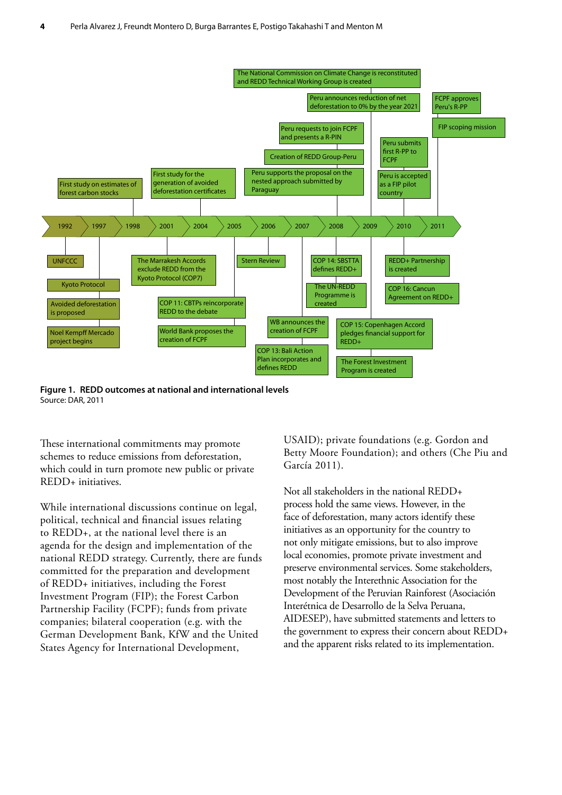<span id="page-15-0"></span>

**Figure 1. REDD outcomes at national and international levels** Source: DAR, 2011

These international commitments may promote schemes to reduce emissions from deforestation, which could in turn promote new public or private REDD+ initiatives.

While international discussions continue on legal, political, technical and financial issues relating to REDD+, at the national level there is an agenda for the design and implementation of the national REDD strategy. Currently, there are funds committed for the preparation and development of REDD+ initiatives, including the Forest Investment Program (FIP); the Forest Carbon Partnership Facility (FCPF); funds from private companies; bilateral cooperation (e.g. with the German Development Bank, KfW and the United States Agency for International Development,

USAID); private foundations (e.g. Gordon and Betty Moore Foundation); and others (Che Piu and García 2011).

Not all stakeholders in the national REDD+ process hold the same views. However, in the face of deforestation, many actors identify these initiatives as an opportunity for the country to not only mitigate emissions, but to also improve local economies, promote private investment and preserve environmental services. Some stakeholders, most notably the Interethnic Association for the Development of the Peruvian Rainforest (Asociación Interétnica de Desarrollo de la Selva Peruana, AIDESEP), have submitted statements and letters to the government to express their concern about REDD+ and the apparent risks related to its implementation.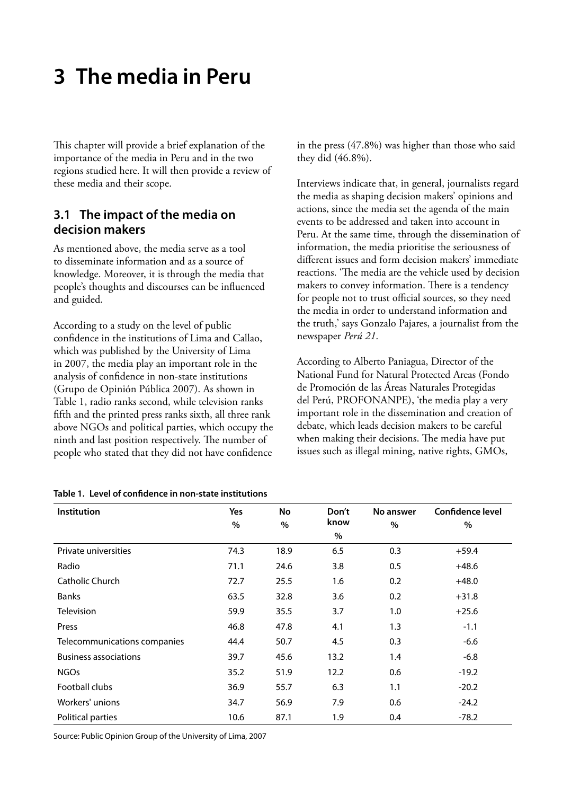# <span id="page-16-0"></span>**3 The media in Peru**

This chapter will provide a brief explanation of the importance of the media in Peru and in the two regions studied here. It will then provide a review of these media and their scope.

### **3.1 The impact of the media on decision makers**

As mentioned above, the media serve as a tool to disseminate information and as a source of knowledge. Moreover, it is through the media that people's thoughts and discourses can be influenced and guided.

According to a study on the level of public confidence in the institutions of Lima and Callao, which was published by the University of Lima in 2007, the media play an important role in the analysis of confidence in non-state institutions (Grupo de Opinión Pública 2007). As shown in Table 1, radio ranks second, while television ranks fifth and the printed press ranks sixth, all three rank above NGOs and political parties, which occupy the ninth and last position respectively. The number of people who stated that they did not have confidence

|  |  |  | Table 1. Level of confidence in non-state institutions |  |
|--|--|--|--------------------------------------------------------|--|
|--|--|--|--------------------------------------------------------|--|

in the press (47.8%) was higher than those who said they did (46.8%).

Interviews indicate that, in general, journalists regard the media as shaping decision makers' opinions and actions, since the media set the agenda of the main events to be addressed and taken into account in Peru. At the same time, through the dissemination of information, the media prioritise the seriousness of different issues and form decision makers' immediate reactions. 'The media are the vehicle used by decision makers to convey information. There is a tendency for people not to trust official sources, so they need the media in order to understand information and the truth,' says Gonzalo Pajares, a journalist from the newspaper *Perú 21*.

According to Alberto Paniagua, Director of the National Fund for Natural Protected Areas (Fondo de Promoción de las Áreas Naturales Protegidas del Perú, PROFONANPE), 'the media play a very important role in the dissemination and creation of debate, which leads decision makers to be careful when making their decisions. The media have put issues such as illegal mining, native rights, GMOs,

| Institution                  | Yes  | No   | Don't | No answer | <b>Confidence level</b> |
|------------------------------|------|------|-------|-----------|-------------------------|
|                              | %    | $\%$ | know  | $\%$      | %                       |
|                              |      |      | $\%$  |           |                         |
| Private universities         | 74.3 | 18.9 | 6.5   | 0.3       | $+59.4$                 |
| Radio                        | 71.1 | 24.6 | 3.8   | 0.5       | $+48.6$                 |
| Catholic Church              | 72.7 | 25.5 | 1.6   | 0.2       | $+48.0$                 |
| <b>Banks</b>                 | 63.5 | 32.8 | 3.6   | 0.2       | $+31.8$                 |
| <b>Television</b>            | 59.9 | 35.5 | 3.7   | 1.0       | $+25.6$                 |
| Press                        | 46.8 | 47.8 | 4.1   | 1.3       | $-1.1$                  |
| Telecommunications companies | 44.4 | 50.7 | 4.5   | 0.3       | $-6.6$                  |
| <b>Business associations</b> | 39.7 | 45.6 | 13.2  | 1.4       | $-6.8$                  |
| <b>NGOs</b>                  | 35.2 | 51.9 | 12.2  | 0.6       | $-19.2$                 |
| Football clubs               | 36.9 | 55.7 | 6.3   | 1.1       | $-20.2$                 |
| Workers' unions              | 34.7 | 56.9 | 7.9   | 0.6       | $-24.2$                 |
| Political parties            | 10.6 | 87.1 | 1.9   | 0.4       | $-78.2$                 |

Source: Public Opinion Group of the University of Lima, 2007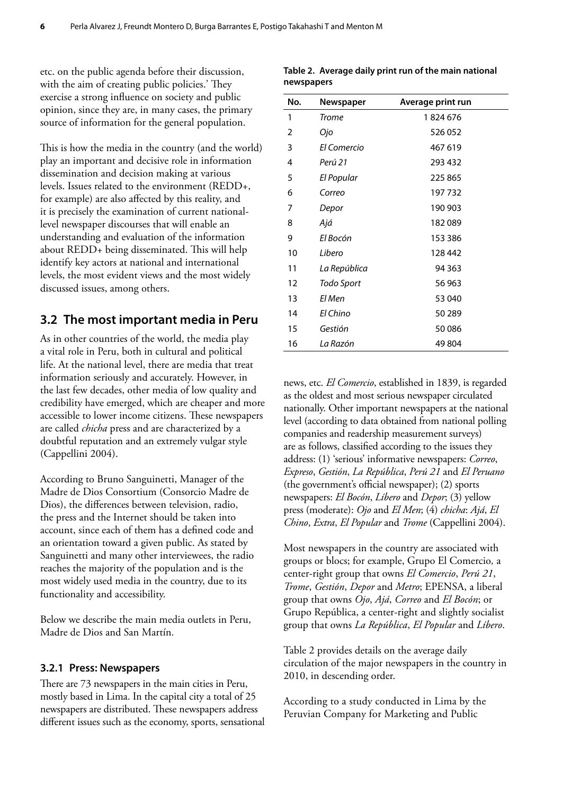<span id="page-17-0"></span>etc. on the public agenda before their discussion, with the aim of creating public policies.' They exercise a strong influence on society and public opinion, since they are, in many cases, the primary source of information for the general population.

This is how the media in the country (and the world) play an important and decisive role in information dissemination and decision making at various levels. Issues related to the environment (REDD+, for example) are also affected by this reality, and it is precisely the examination of current nationallevel newspaper discourses that will enable an understanding and evaluation of the information about REDD+ being disseminated. This will help identify key actors at national and international levels, the most evident views and the most widely discussed issues, among others.

### **3.2 The most important media in Peru**

As in other countries of the world, the media play a vital role in Peru, both in cultural and political life. At the national level, there are media that treat information seriously and accurately. However, in the last few decades, other media of low quality and credibility have emerged, which are cheaper and more accessible to lower income citizens. These newspapers are called *chicha* press and are characterized by a doubtful reputation and an extremely vulgar style (Cappellini 2004).

According to Bruno Sanguinetti, Manager of the Madre de Dios Consortium (Consorcio Madre de Dios), the differences between television, radio, the press and the Internet should be taken into account, since each of them has a defined code and an orientation toward a given public. As stated by Sanguinetti and many other interviewees, the radio reaches the majority of the population and is the most widely used media in the country, due to its functionality and accessibility.

Below we describe the main media outlets in Peru, Madre de Dios and San Martín.

#### **3.2.1 Press: Newspapers**

There are 73 newspapers in the main cities in Peru, mostly based in Lima. In the capital city a total of 25 newspapers are distributed. These newspapers address different issues such as the economy, sports, sensational

| No. | Newspaper    | Average print run |
|-----|--------------|-------------------|
| 1   | <b>Trome</b> | 1824676           |
| 2   | Ojo          | 526052            |
| 3   | El Comercio  | 467 619           |
| 4   | Perú 21      | 293 432           |
| 5   | El Popular   | 225 865           |
| 6   | Correo       | 197732            |
| 7   | Depor        | 190 903           |
| 8   | Ajá          | 182089            |
| 9   | El Bocón     | 153 386           |
| 10  | Libero       | 128 442           |
| 11  | La República | 94 363            |
| 12  | Todo Sport   | 56 963            |
| 13  | El Men       | 53 040            |
| 14  | El Chino     | 50 289            |
| 15  | Gestión      | 50086             |
| 16  | La Razón     | 49 804            |

|            | Table 2. Average daily print run of the main national |
|------------|-------------------------------------------------------|
| newspapers |                                                       |

news, etc. *El Comercio*, established in 1839, is regarded as the oldest and most serious newspaper circulated nationally. Other important newspapers at the national level (according to data obtained from national polling companies and readership measurement surveys) are as follows, classified according to the issues they address: (1) 'serious' informative newspapers: *Correo*, *Expreso*, *Gestión*, *La República*, *Perú 21* and *El Peruano* (the government's official newspaper); (2) sports newspapers: *El Bocón*, *Líbero* and *Depor*; (3) yellow press (moderate): *Ojo* and *El Men*; (4) *chicha*: *Ajá*, *El Chino*, *Extra*, *El Popular* and *Trome* (Cappellini 2004).

Most newspapers in the country are associated with groups or blocs; for example, Grupo El Comercio*,* a center-right group that owns *El Comercio*, *Perú 21*, *Trome*, *Gestión*, *Depor* and *Metro*; EPENSA, a liberal group that owns *Ojo*, *Ajá*, *Correo* and *El Bocón*; or Grupo República, a center-right and slightly socialist group that owns *La República*, *El Popular* and *Líbero*.

Table 2 provides details on the average daily circulation of the major newspapers in the country in 2010, in descending order.

According to a study conducted in Lima by the Peruvian Company for Marketing and Public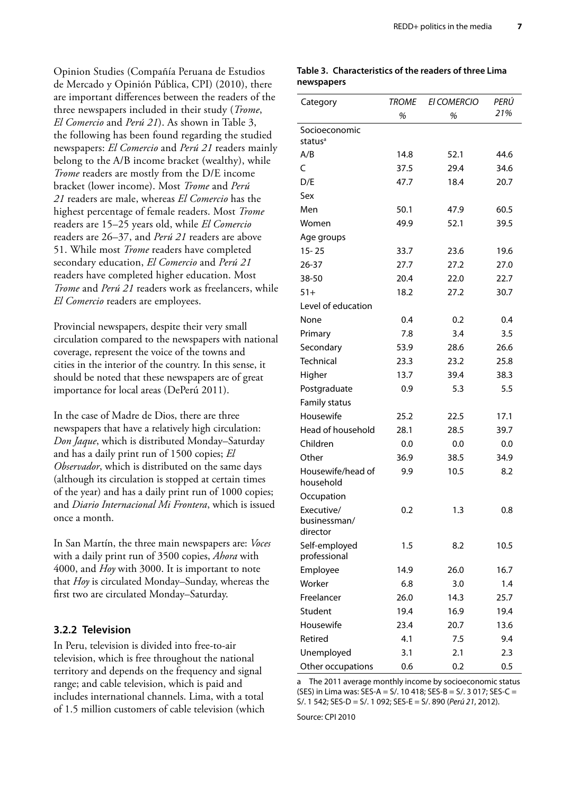<span id="page-18-0"></span>Opinion Studies (Compañía Peruana de Estudios de Mercado y Opinión Pública, CPI) (2010), there are important differences between the readers of the three newspapers included in their study (*Trome*, *El Comercio* and *Perú 21*). As shown in Table 3, the following has been found regarding the studied newspapers: *El Comercio* and *Perú 21* readers mainly belong to the A/B income bracket (wealthy), while *Trome* readers are mostly from the D/E income bracket (lower income). Most *Trome* and *Perú 21* readers are male, whereas *El Comercio* has the highest percentage of female readers. Most *Trome* readers are 15–25 years old, while *El Comercio* readers are 26–37, and *Perú 21* readers are above 51. While most *Trome* readers have completed secondary education, *El Comercio* and *Perú 21* readers have completed higher education. Most *Trome* and *Perú 21* readers work as freelancers, while *El Comercio* readers are employees.

Provincial newspapers, despite their very small circulation compared to the newspapers with national coverage, represent the voice of the towns and cities in the interior of the country. In this sense, it should be noted that these newspapers are of great importance for local areas (DePerú 2011).

In the case of Madre de Dios, there are three newspapers that have a relatively high circulation: *Don Jaque*, which is distributed Monday–Saturday and has a daily print run of 1500 copies; *El Observador*, which is distributed on the same days (although its circulation is stopped at certain times of the year) and has a daily print run of 1000 copies; and *Diario Internacional Mi Frontera*, which is issued once a month.

In San Martín, the three main newspapers are: *Voces* with a daily print run of 3500 copies, *Ahora* with 4000, and *Hoy* with 3000. It is important to note that *Hoy* is circulated Monday–Sunday, whereas the first two are circulated Monday–Saturday.

#### **3.2.2 Television**

In Peru, television is divided into free-to-air television, which is free throughout the national territory and depends on the frequency and signal range; and cable television, which is paid and includes international channels. Lima, with a total of 1.5 million customers of cable television (which

#### **Table 3. Characteristics of the readers of three Lima newspapers**

| Category                               | TROME | <b>EI COMERCIO</b> | PERÚ |
|----------------------------------------|-------|--------------------|------|
|                                        | %     | %                  | 21%  |
| Socioeconomic<br>status <sup>a</sup>   |       |                    |      |
| A/B                                    | 14.8  | 52.1               | 44.6 |
| C                                      | 37.5  | 29.4               | 34.6 |
| D/E                                    | 47.7  | 18.4               | 20.7 |
| Sex                                    |       |                    |      |
| Men                                    | 50.1  | 47.9               | 60.5 |
| Women                                  | 49.9  | 52.1               | 39.5 |
| Age groups                             |       |                    |      |
| $15 - 25$                              | 33.7  | 23.6               | 19.6 |
| $26 - 37$                              | 27.7  | 27.2               | 27.0 |
| 38-50                                  | 20.4  | 22.0               | 22.7 |
| $51+$                                  | 18.2  | 27.2               | 30.7 |
| Level of education                     |       |                    |      |
| None                                   | 0.4   | 0.2                | 0.4  |
| Primary                                | 7.8   | 3.4                | 3.5  |
| Secondary                              | 53.9  | 28.6               | 26.6 |
| <b>Technical</b>                       | 23.3  | 23.2               | 25.8 |
| Higher                                 | 13.7  | 39.4               | 38.3 |
| Postgraduate                           | 0.9   | 5.3                | 5.5  |
| <b>Family status</b>                   |       |                    |      |
| Housewife                              | 25.2  | 22.5               | 17.1 |
| Head of household                      | 28.1  | 28.5               | 39.7 |
| Children                               | 0.0   | 0.0                | 0.0  |
| Other                                  | 36.9  | 38.5               | 34.9 |
| Housewife/head of<br>household         | 9.9   | 10.5               | 8.2  |
| Occupation                             |       |                    |      |
| Executive/<br>businessman/<br>director | 0.2   | 1.3                | 0.8  |
| Self-employed<br>professional          | 1.5   | 8.2                | 10.5 |
| Employee                               | 14.9  | 26.0               | 16.7 |
| Worker                                 | 6.8   | 3.0                | 1.4  |
| Freelancer                             | 26.0  | 14.3               | 25.7 |
| Student                                | 19.4  | 16.9               | 19.4 |
| Housewife                              | 23.4  | 20.7               | 13.6 |
| Retired                                | 4.1   | 7.5                | 9.4  |
| Unemployed                             | 3.1   | 2.1                | 2.3  |
| Other occupations                      | 0.6   | 0.2                | 0.5  |

a The 2011 average monthly income by socioeconomic status (SES) in Lima was: SES-A = S/. 10 418; SES-B = S/. 3 017; SES-C = S/. 1 542; SES-D = S/. 1 092; SES-E = S/. 890 (*Perú 21*, 2012).

Source: CPI 2010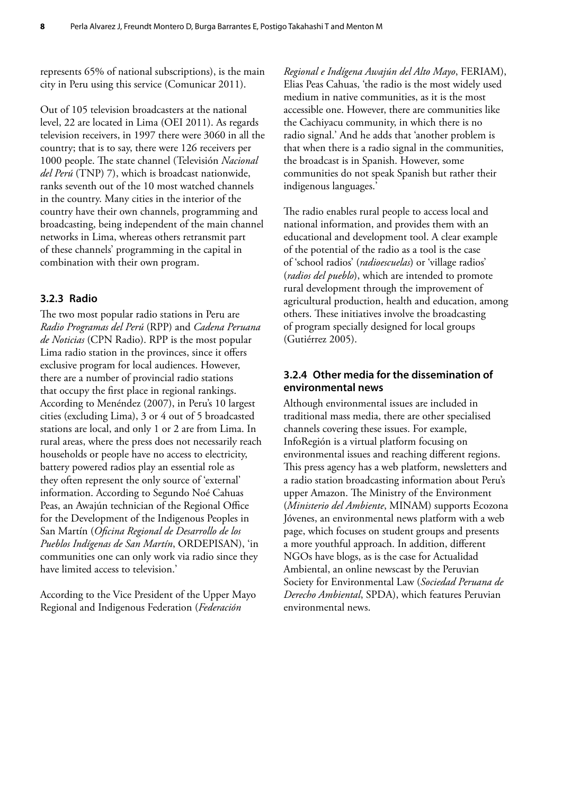represents 65% of national subscriptions), is the main city in Peru using this service (Comunicar 2011).

Out of 105 television broadcasters at the national level, 22 are located in Lima (OEI 2011). As regards television receivers, in 1997 there were 3060 in all the country; that is to say, there were 126 receivers per 1000 people. The state channel (Televisión *Nacional del Perú* (TNP) 7), which is broadcast nationwide, ranks seventh out of the 10 most watched channels in the country. Many cities in the interior of the country have their own channels, programming and broadcasting, being independent of the main channel networks in Lima, whereas others retransmit part of these channels' programming in the capital in combination with their own program.

#### **3.2.3 Radio**

The two most popular radio stations in Peru are *Radio Programas del Perú* (RPP) and *Cadena Peruana de Noticias* (CPN Radio). RPP is the most popular Lima radio station in the provinces, since it offers exclusive program for local audiences. However, there are a number of provincial radio stations that occupy the first place in regional rankings. According to Menéndez (2007), in Peru's 10 largest cities (excluding Lima), 3 or 4 out of 5 broadcasted stations are local, and only 1 or 2 are from Lima. In rural areas, where the press does not necessarily reach households or people have no access to electricity, battery powered radios play an essential role as they often represent the only source of 'external' information. According to Segundo Noé Cahuas Peas, an Awajún technician of the Regional Office for the Development of the Indigenous Peoples in San Martín (*Oficina Regional de Desarrollo de los Pueblos Indígenas de San Martín*, ORDEPISAN), 'in communities one can only work via radio since they have limited access to television.'

According to the Vice President of the Upper Mayo Regional and Indigenous Federation (*Federación*

*Regional e Indígena Awajún del Alto Mayo*, FERIAM), Elias Peas Cahuas, 'the radio is the most widely used medium in native communities, as it is the most accessible one. However, there are communities like the Cachiyacu community, in which there is no radio signal.' And he adds that 'another problem is that when there is a radio signal in the communities, the broadcast is in Spanish. However, some communities do not speak Spanish but rather their indigenous languages.'

The radio enables rural people to access local and national information, and provides them with an educational and development tool. A clear example of the potential of the radio as a tool is the case of 'school radios' (*radioescuelas*) or 'village radios' (*radios del pueblo*), which are intended to promote rural development through the improvement of agricultural production, health and education, among others. These initiatives involve the broadcasting of program specially designed for local groups (Gutiérrez 2005).

#### **3.2.4 Other media for the dissemination of environmental news**

Although environmental issues are included in traditional mass media, there are other specialised channels covering these issues. For example, InfoRegión is a virtual platform focusing on environmental issues and reaching different regions. This press agency has a web platform, newsletters and a radio station broadcasting information about Peru's upper Amazon. The Ministry of the Environment (*Ministerio del Ambiente*, MINAM) supports Ecozona Jóvenes, an environmental news platform with a web page, which focuses on student groups and presents a more youthful approach. In addition, different NGOs have blogs, as is the case for Actualidad Ambiental, an online newscast by the Peruvian Society for Environmental Law (*Sociedad Peruana de Derecho Ambiental*, SPDA), which features Peruvian environmental news.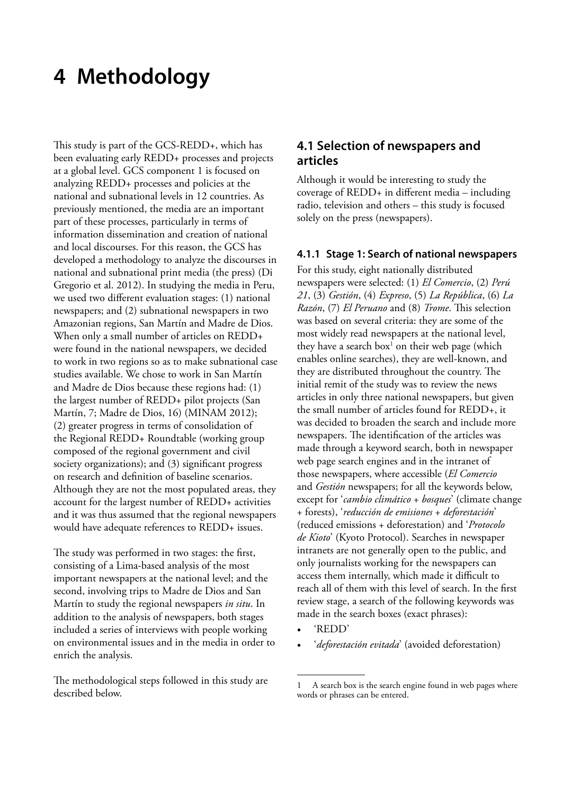# <span id="page-20-0"></span>**4 Methodology**

This study is part of the GCS-REDD+, which has been evaluating early REDD+ processes and projects at a global level. GCS component 1 is focused on analyzing REDD+ processes and policies at the national and subnational levels in 12 countries. As previously mentioned, the media are an important part of these processes, particularly in terms of information dissemination and creation of national and local discourses. For this reason, the GCS has developed a methodology to analyze the discourses in national and subnational print media (the press) (Di Gregorio et al. 2012). In studying the media in Peru, we used two different evaluation stages: (1) national newspapers; and (2) subnational newspapers in two Amazonian regions, San Martín and Madre de Dios. When only a small number of articles on REDD+ were found in the national newspapers, we decided to work in two regions so as to make subnational case studies available. We chose to work in San Martín and Madre de Dios because these regions had: (1) the largest number of REDD+ pilot projects (San Martín, 7; Madre de Dios, 16) (MINAM 2012); (2) greater progress in terms of consolidation of the Regional REDD+ Roundtable (working group composed of the regional government and civil society organizations); and (3) significant progress on research and definition of baseline scenarios. Although they are not the most populated areas, they account for the largest number of REDD+ activities and it was thus assumed that the regional newspapers would have adequate references to REDD+ issues.

The study was performed in two stages: the first, consisting of a Lima-based analysis of the most important newspapers at the national level; and the second, involving trips to Madre de Dios and San Martín to study the regional newspapers *in situ*. In addition to the analysis of newspapers, both stages included a series of interviews with people working on environmental issues and in the media in order to enrich the analysis.

The methodological steps followed in this study are described below.

### **4.1 Selection of newspapers and articles**

Although it would be interesting to study the coverage of REDD+ in different media – including radio, television and others – this study is focused solely on the press (newspapers).

#### **4.1.1 Stage 1: Search of national newspapers**

For this study, eight nationally distributed newspapers were selected: (1) *El Comercio*, (2) *Perú 21*, (3) *Gestión*, (4) *Expreso*, (5) *La República*, (6) *La Razón*, (7) *El Peruano* and (8) *Trome*. This selection was based on several criteria: they are some of the most widely read newspapers at the national level, they have a search box<sup>1</sup> on their web page (which enables online searches), they are well-known, and they are distributed throughout the country. The initial remit of the study was to review the news articles in only three national newspapers, but given the small number of articles found for REDD+, it was decided to broaden the search and include more newspapers. The identification of the articles was made through a keyword search, both in newspaper web page search engines and in the intranet of those newspapers, where accessible (*El Comercio* and *Gestión* newspapers; for all the keywords below, except for '*cambio climático* + *bosques*' (climate change + forests), '*reducción de emisiones* + *deforestación*' (reduced emissions + deforestation) and '*Protocolo de Kioto*' (Kyoto Protocol). Searches in newspaper intranets are not generally open to the public, and only journalists working for the newspapers can access them internally, which made it difficult to reach all of them with this level of search. In the first review stage, a search of the following keywords was made in the search boxes (exact phrases):

- 'REDD'
- '*deforestación evitada*' (avoided deforestation)

A search box is the search engine found in web pages where words or phrases can be entered.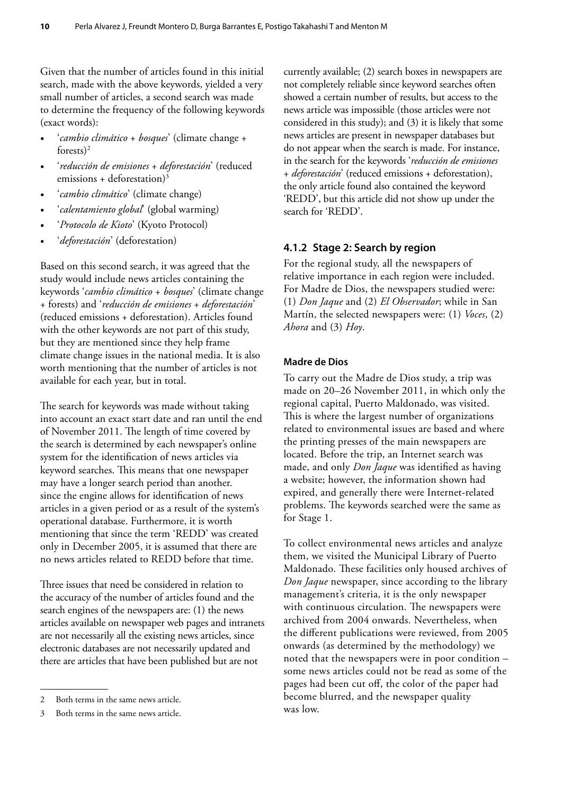Given that the number of articles found in this initial search, made with the above keywords, yielded a very small number of articles, a second search was made to determine the frequency of the following keywords (exact words):

- '*cambio climático* + *bosques*' (climate change + forests $)^2$
- '*reducción de emisiones* + *deforestación*' (reduced emissions + deforestation)<sup>3</sup>
- '*cambio climático*' (climate change)
- '*calentamiento global*' (global warming)
- '*Protocolo de Kioto*' (Kyoto Protocol)
- '*deforestación*' (deforestation)

Based on this second search, it was agreed that the study would include news articles containing the keywords '*cambio climático* + *bosques*' (climate change + forests) and '*reducción de emisiones* + *deforestación*' (reduced emissions + deforestation). Articles found with the other keywords are not part of this study, but they are mentioned since they help frame climate change issues in the national media. It is also worth mentioning that the number of articles is not available for each year, but in total.

The search for keywords was made without taking into account an exact start date and ran until the end of November 2011. The length of time covered by the search is determined by each newspaper's online system for the identification of news articles via keyword searches. This means that one newspaper may have a longer search period than another. since the engine allows for identification of news articles in a given period or as a result of the system's operational database. Furthermore, it is worth mentioning that since the term 'REDD' was created only in December 2005, it is assumed that there are no news articles related to REDD before that time.

Three issues that need be considered in relation to the accuracy of the number of articles found and the search engines of the newspapers are: (1) the news articles available on newspaper web pages and intranets are not necessarily all the existing news articles, since electronic databases are not necessarily updated and there are articles that have been published but are not

currently available; (2) search boxes in newspapers are not completely reliable since keyword searches often showed a certain number of results, but access to the news article was impossible (those articles were not considered in this study); and (3) it is likely that some news articles are present in newspaper databases but do not appear when the search is made. For instance, in the search for the keywords '*reducción de emisiones*  + *deforestación*' (reduced emissions + deforestation), the only article found also contained the keyword 'REDD', but this article did not show up under the search for 'REDD'.

#### **4.1.2 Stage 2: Search by region**

For the regional study, all the newspapers of relative importance in each region were included. For Madre de Dios, the newspapers studied were: (1) *Don Jaque* and (2) *El Observador*; while in San Martín, the selected newspapers were: (1) *Voces*, (2) *Ahora* and (3) *Hoy*.

#### **Madre de Dios**

To carry out the Madre de Dios study, a trip was made on 20–26 November 2011, in which only the regional capital, Puerto Maldonado, was visited. This is where the largest number of organizations related to environmental issues are based and where the printing presses of the main newspapers are located. Before the trip, an Internet search was made, and only *Don Jaque* was identified as having a website; however, the information shown had expired, and generally there were Internet-related problems. The keywords searched were the same as for Stage 1.

To collect environmental news articles and analyze them, we visited the Municipal Library of Puerto Maldonado. These facilities only housed archives of *Don Jaque* newspaper, since according to the library management's criteria, it is the only newspaper with continuous circulation. The newspapers were archived from 2004 onwards. Nevertheless, when the different publications were reviewed, from 2005 onwards (as determined by the methodology) we noted that the newspapers were in poor condition – some news articles could not be read as some of the pages had been cut off, the color of the paper had become blurred, and the newspaper quality was low.

<sup>2</sup> Both terms in the same news article.

<sup>3</sup> Both terms in the same news article.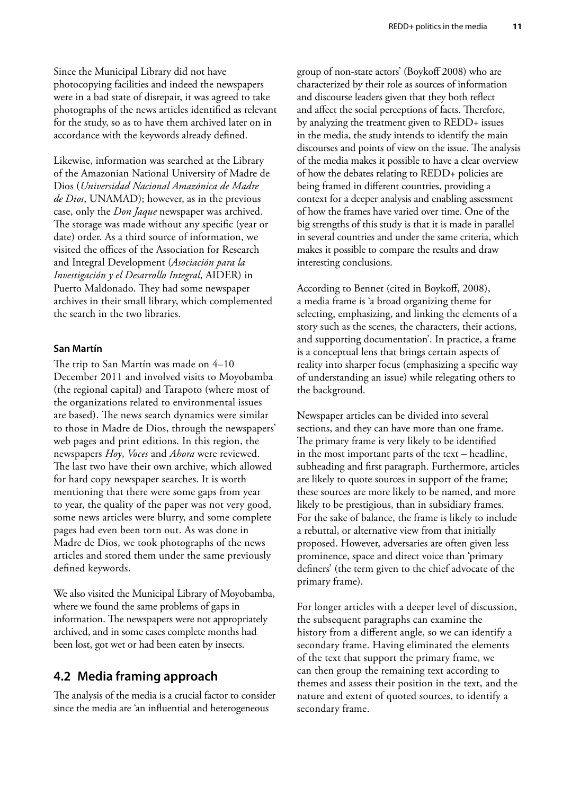<span id="page-22-0"></span>Since the Municipal Library did not have photocopying facilities and indeed the newspapers were in a bad state of disrepair, it was agreed to take photographs of the news articles identified as relevant for the study, so as to have them archived later on in accordance with the keywords already defined.

Likewise, information was searched at the Library of the Amazonian National University of Madre de Dios (*Universidad Nacional Amazónica de Madre de Dios*, UNAMAD); however, as in the previous case, only the *Don Jaque* newspaper was archived. The storage was made without any specific (year or date) order. As a third source of information, we visited the offices of the Association for Research and Integral Development (*Asociación para la Investigación y el Desarrollo Integral*, AIDER) in Puerto Maldonado. They had some newspaper archives in their small library, which complemented the search in the two libraries.

#### **San Martín**

The trip to San Martín was made on 4–10 December 2011 and involved visits to Moyobamba (the regional capital) and Tarapoto (where most of the organizations related to environmental issues are based). The news search dynamics were similar to those in Madre de Dios, through the newspapers' web pages and print editions. In this region, the newspapers *Hoy*, *Voces* and *Ahora* were reviewed. The last two have their own archive, which allowed for hard copy newspaper searches. It is worth mentioning that there were some gaps from year to year, the quality of the paper was not very good, some news articles were blurry, and some complete pages had even been torn out. As was done in Madre de Dios, we took photographs of the news articles and stored them under the same previously defined keywords.

We also visited the Municipal Library of Moyobamba, where we found the same problems of gaps in information. The newspapers were not appropriately archived, and in some cases complete months had been lost, got wet or had been eaten by insects.

### **4.2 Media framing approach**

The analysis of the media is a crucial factor to consider since the media are 'an influential and heterogeneous

group of non-state actors' (Boykoff 2008) who are characterized by their role as sources of information and discourse leaders given that they both reflect and affect the social perceptions of facts. Therefore, by analyzing the treatment given to REDD+ issues in the media, the study intends to identify the main discourses and points of view on the issue. The analysis of the media makes it possible to have a clear overview of how the debates relating to REDD+ policies are being framed in different countries, providing a context for a deeper analysis and enabling assessment of how the frames have varied over time. One of the big strengths of this study is that it is made in parallel in several countries and under the same criteria, which makes it possible to compare the results and draw interesting conclusions.

According to Bennet (cited in Boykoff, 2008), a media frame is 'a broad organizing theme for selecting, emphasizing, and linking the elements of a story such as the scenes, the characters, their actions, and supporting documentation'. In practice, a frame is a conceptual lens that brings certain aspects of reality into sharper focus (emphasizing a specific way of understanding an issue) while relegating others to the background.

Newspaper articles can be divided into several sections, and they can have more than one frame. The primary frame is very likely to be identified in the most important parts of the text – headline, subheading and first paragraph. Furthermore, articles are likely to quote sources in support of the frame; these sources are more likely to be named, and more likely to be prestigious, than in subsidiary frames. For the sake of balance, the frame is likely to include a rebuttal, or alternative view from that initially proposed. However, adversaries are often given less prominence, space and direct voice than 'primary definers' (the term given to the chief advocate of the primary frame).

For longer articles with a deeper level of discussion, the subsequent paragraphs can examine the history from a different angle, so we can identify a secondary frame. Having eliminated the elements of the text that support the primary frame, we can then group the remaining text according to themes and assess their position in the text, and the nature and extent of quoted sources, to identify a secondary frame.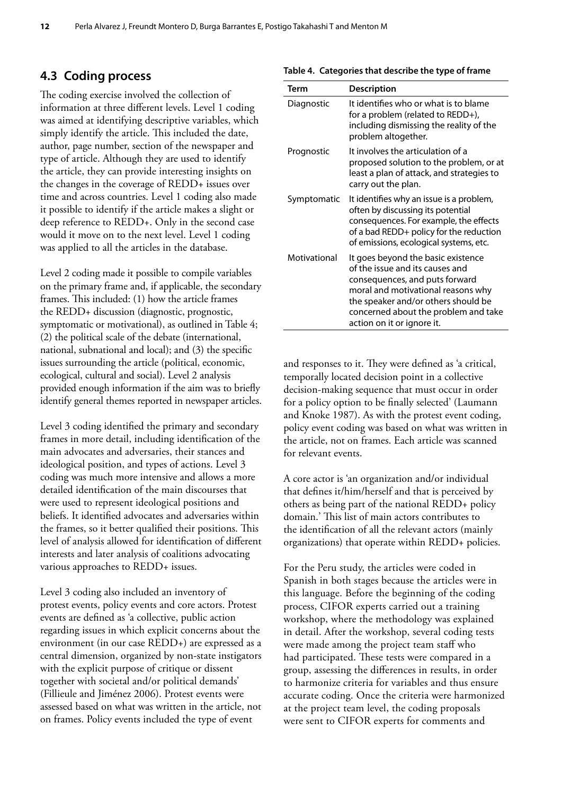### <span id="page-23-0"></span>**4.3 Coding process**

The coding exercise involved the collection of information at three different levels. Level 1 coding was aimed at identifying descriptive variables, which simply identify the article. This included the date, author, page number, section of the newspaper and type of article. Although they are used to identify the article, they can provide interesting insights on the changes in the coverage of REDD+ issues over time and across countries. Level 1 coding also made it possible to identify if the article makes a slight or deep reference to REDD+. Only in the second case would it move on to the next level. Level 1 coding was applied to all the articles in the database.

Level 2 coding made it possible to compile variables on the primary frame and, if applicable, the secondary frames. This included: (1) how the article frames the REDD+ discussion (diagnostic, prognostic, symptomatic or motivational), as outlined in Table 4; (2) the political scale of the debate (international, national, subnational and local); and (3) the specific issues surrounding the article (political, economic, ecological, cultural and social). Level 2 analysis provided enough information if the aim was to briefly identify general themes reported in newspaper articles.

Level 3 coding identified the primary and secondary frames in more detail, including identification of the main advocates and adversaries, their stances and ideological position, and types of actions. Level 3 coding was much more intensive and allows a more detailed identification of the main discourses that were used to represent ideological positions and beliefs. It identified advocates and adversaries within the frames, so it better qualified their positions. This level of analysis allowed for identification of different interests and later analysis of coalitions advocating various approaches to REDD+ issues.

Level 3 coding also included an inventory of protest events, policy events and core actors. Protest events are defined as 'a collective, public action regarding issues in which explicit concerns about the environment (in our case REDD+) are expressed as a central dimension, organized by non-state instigators with the explicit purpose of critique or dissent together with societal and/or political demands' (Fillieule and Jiménez 2006). Protest events were assessed based on what was written in the article, not on frames. Policy events included the type of event

| Term         | <b>Description</b>                                                                                                                                                                                                                                         |
|--------------|------------------------------------------------------------------------------------------------------------------------------------------------------------------------------------------------------------------------------------------------------------|
| Diagnostic   | It identifies who or what is to blame<br>for a problem (related to REDD+),<br>including dismissing the reality of the<br>problem altogether.                                                                                                               |
| Prognostic   | It involves the articulation of a<br>proposed solution to the problem, or at<br>least a plan of attack, and strategies to<br>carry out the plan.                                                                                                           |
| Symptomatic  | It identifies why an issue is a problem,<br>often by discussing its potential<br>consequences. For example, the effects<br>of a bad REDD+ policy for the reduction<br>of emissions, ecological systems, etc.                                               |
| Motivational | It goes beyond the basic existence<br>of the issue and its causes and<br>consequences, and puts forward<br>moral and motivational reasons why<br>the speaker and/or others should be<br>concerned about the problem and take<br>action on it or ignore it. |

and responses to it. They were defined as 'a critical, temporally located decision point in a collective decision-making sequence that must occur in order for a policy option to be finally selected' (Laumann and Knoke 1987). As with the protest event coding, policy event coding was based on what was written in the article, not on frames. Each article was scanned for relevant events.

A core actor is 'an organization and/or individual that defines it/him/herself and that is perceived by others as being part of the national REDD+ policy domain.' This list of main actors contributes to the identification of all the relevant actors (mainly organizations) that operate within REDD+ policies.

For the Peru study, the articles were coded in Spanish in both stages because the articles were in this language. Before the beginning of the coding process, CIFOR experts carried out a training workshop, where the methodology was explained in detail. After the workshop, several coding tests were made among the project team staff who had participated. These tests were compared in a group, assessing the differences in results, in order to harmonize criteria for variables and thus ensure accurate coding. Once the criteria were harmonized at the project team level, the coding proposals were sent to CIFOR experts for comments and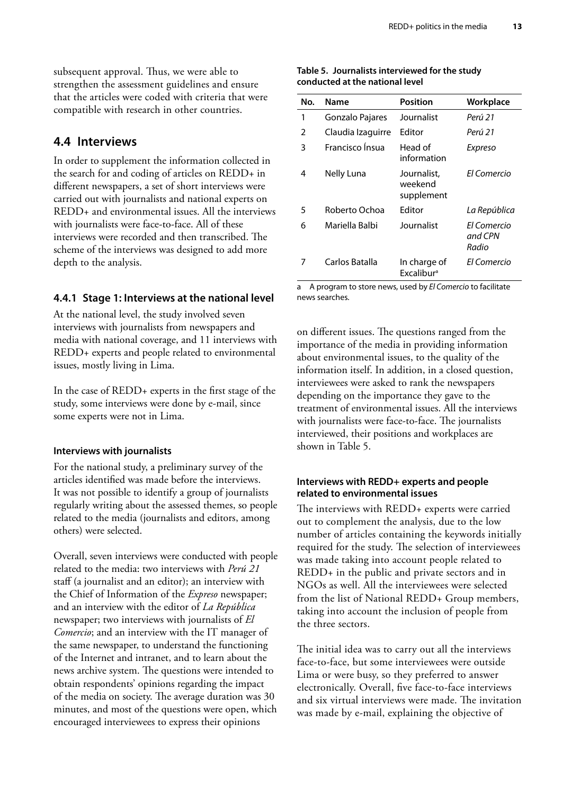<span id="page-24-0"></span>subsequent approval. Thus, we were able to strengthen the assessment guidelines and ensure that the articles were coded with criteria that were compatible with research in other countries.

#### **4.4 Interviews**

In order to supplement the information collected in the search for and coding of articles on REDD+ in different newspapers, a set of short interviews were carried out with journalists and national experts on REDD+ and environmental issues. All the interviews with journalists were face-to-face. All of these interviews were recorded and then transcribed. The scheme of the interviews was designed to add more depth to the analysis.

#### **4.4.1 Stage 1: Interviews at the national level**

At the national level, the study involved seven interviews with journalists from newspapers and media with national coverage, and 11 interviews with REDD+ experts and people related to environmental issues, mostly living in Lima.

In the case of REDD+ experts in the first stage of the study, some interviews were done by e-mail, since some experts were not in Lima.

#### **Interviews with journalists**

For the national study, a preliminary survey of the articles identified was made before the interviews. It was not possible to identify a group of journalists regularly writing about the assessed themes, so people related to the media (journalists and editors, among others) were selected.

Overall, seven interviews were conducted with people related to the media: two interviews with *Perú 21* staff (a journalist and an editor); an interview with the Chief of Information of the *Expreso* newspaper; and an interview with the editor of *La República* newspaper; two interviews with journalists of *El Comercio*; and an interview with the IT manager of the same newspaper, to understand the functioning of the Internet and intranet, and to learn about the news archive system. The questions were intended to obtain respondents' opinions regarding the impact of the media on society. The average duration was 30 minutes, and most of the questions were open, which encouraged interviewees to express their opinions

#### **Table 5. Journalists interviewed for the study conducted at the national level**

| No.           | Name              | <b>Position</b>                               | Workplace                       |
|---------------|-------------------|-----------------------------------------------|---------------------------------|
| 1             | Gonzalo Pajares   | Journalist                                    | Perú 21                         |
| $\mathcal{P}$ | Claudia Izaguirre | Editor                                        | Perú 21                         |
| 3             | Francisco Insua   | Head of<br>information                        | Expreso                         |
| 4             | Nelly Luna        | Journalist,<br>weekend<br>supplement          | Fl Comercio                     |
| 5             | Roberto Ochoa     | Fditor                                        | La República                    |
| 6             | Mariella Balbi    | Journalist                                    | Fl Comercio<br>and CPN<br>Radio |
| 7             | Carlos Batalla    | In charge of<br><b>Excalibur</b> <sup>a</sup> | El Comercio                     |

a A program to store news, used by *El Comercio* to facilitate news searches.

on different issues. The questions ranged from the importance of the media in providing information about environmental issues, to the quality of the information itself. In addition, in a closed question, interviewees were asked to rank the newspapers depending on the importance they gave to the treatment of environmental issues. All the interviews with journalists were face-to-face. The journalists interviewed, their positions and workplaces are shown in Table 5.

#### **Interviews with REDD+ experts and people related to environmental issues**

The interviews with REDD+ experts were carried out to complement the analysis, due to the low number of articles containing the keywords initially required for the study. The selection of interviewees was made taking into account people related to REDD+ in the public and private sectors and in NGOs as well. All the interviewees were selected from the list of National REDD+ Group members, taking into account the inclusion of people from the three sectors.

The initial idea was to carry out all the interviews face-to-face, but some interviewees were outside Lima or were busy, so they preferred to answer electronically. Overall, five face-to-face interviews and six virtual interviews were made. The invitation was made by e-mail, explaining the objective of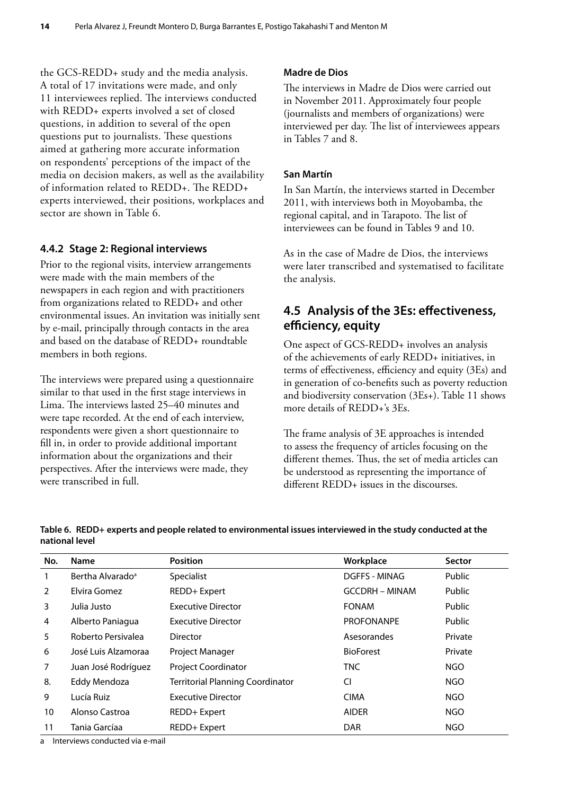<span id="page-25-0"></span>the GCS-REDD+ study and the media analysis. A total of 17 invitations were made, and only 11 interviewees replied. The interviews conducted with REDD+ experts involved a set of closed questions, in addition to several of the open questions put to journalists. These questions aimed at gathering more accurate information on respondents' perceptions of the impact of the media on decision makers, as well as the availability of information related to REDD+. The REDD+ experts interviewed, their positions, workplaces and sector are shown in Table 6.

#### **4.4.2 Stage 2: Regional interviews**

Prior to the regional visits, interview arrangements were made with the main members of the newspapers in each region and with practitioners from organizations related to REDD+ and other environmental issues. An invitation was initially sent by e-mail, principally through contacts in the area and based on the database of REDD+ roundtable members in both regions.

The interviews were prepared using a questionnaire similar to that used in the first stage interviews in Lima. The interviews lasted 25–40 minutes and were tape recorded. At the end of each interview, respondents were given a short questionnaire to fill in, in order to provide additional important information about the organizations and their perspectives. After the interviews were made, they were transcribed in full.

#### **Madre de Dios**

The interviews in Madre de Dios were carried out in November 2011. Approximately four people (journalists and members of organizations) were interviewed per day. The list of interviewees appears in Tables 7 and 8.

#### **San Martín**

In San Martín, the interviews started in December 2011, with interviews both in Moyobamba, the regional capital, and in Tarapoto. The list of interviewees can be found in Tables 9 and 10.

As in the case of Madre de Dios, the interviews were later transcribed and systematised to facilitate the analysis.

### **4.5 Analysis of the 3Es: effectiveness, efficiency, equity**

One aspect of GCS-REDD+ involves an analysis of the achievements of early REDD+ initiatives, in terms of effectiveness, efficiency and equity (3Es) and in generation of co-benefits such as poverty reduction and biodiversity conservation (3Es+). Table 11 shows more details of REDD+'s 3Es.

The frame analysis of 3E approaches is intended to assess the frequency of articles focusing on the different themes. Thus, the set of media articles can be understood as representing the importance of different REDD+ issues in the discourses.

| No.            | Name                         | <b>Position</b>                         | Workplace             | <b>Sector</b> |
|----------------|------------------------------|-----------------------------------------|-----------------------|---------------|
| 1              | Bertha Alvarado <sup>a</sup> | Specialist                              | DGFFS - MINAG         | Public        |
| 2              | Elvira Gomez                 | REDD+ Expert                            | <b>GCCDRH - MINAM</b> | Public        |
| 3              | Julia Justo                  | <b>Executive Director</b>               | <b>FONAM</b>          | Public        |
| 4              | Alberto Paniagua             | <b>Executive Director</b>               | <b>PROFONANPE</b>     | Public        |
| 5              | Roberto Persivalea           | <b>Director</b>                         | Asesorandes           | Private       |
| 6              | José Luis Alzamoraa          | Project Manager                         | <b>BioForest</b>      | Private       |
| $\overline{7}$ | Juan José Rodríguez          | <b>Project Coordinator</b>              | <b>TNC</b>            | <b>NGO</b>    |
| 8.             | <b>Eddy Mendoza</b>          | <b>Territorial Planning Coordinator</b> | CI                    | NGO           |
| 9              | Lucía Ruiz                   | Executive Director                      | <b>CIMA</b>           | <b>NGO</b>    |
| 10             | Alonso Castroa               | REDD+ Expert                            | <b>AIDER</b>          | NGO           |
| 11             | Tania Garcíaa                | REDD+ Expert                            | <b>DAR</b>            | <b>NGO</b>    |

**Table 6. REDD+ experts and people related to environmental issues interviewed in the study conducted at the national level**

a Interviews conducted via e-mail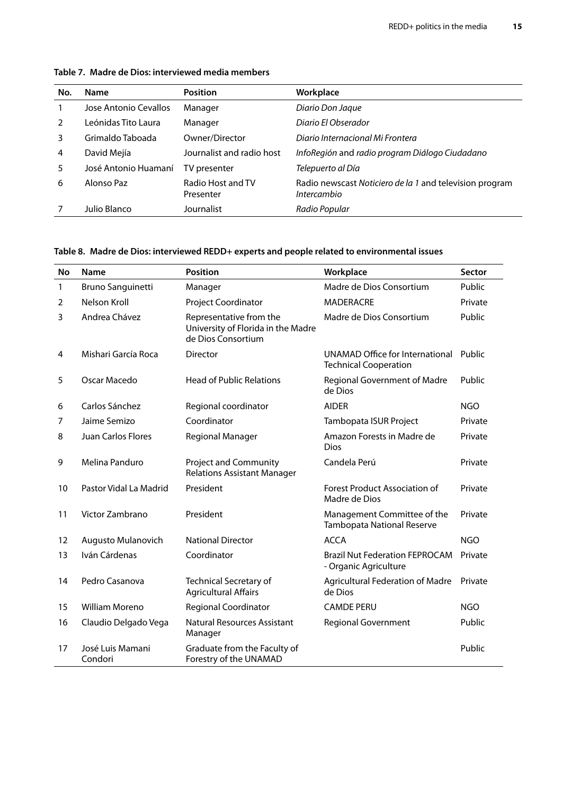| No. | <b>Name</b>           | <b>Position</b>                | Workplace                                                                     |
|-----|-----------------------|--------------------------------|-------------------------------------------------------------------------------|
|     | Jose Antonio Cevallos | Manager                        | Diario Don Jaque                                                              |
| 2   | Leónidas Tito Laura   | Manager                        | Diario El Obserador                                                           |
| 3   | Grimaldo Taboada      | Owner/Director                 | Diario Internacional Mi Frontera                                              |
| 4   | David Mejía           | Journalist and radio host      | InfoRegión and radio program Diálogo Ciudadano                                |
| 5.  | José Antonio Huamaní  | TV presenter                   | Telepuerto al Día                                                             |
| 6   | Alonso Paz            | Radio Host and TV<br>Presenter | Radio newscast Noticiero de la 1 and television program<br><i>Intercambio</i> |
|     | Julio Blanco          | Journalist                     | Radio Popular                                                                 |

#### <span id="page-26-0"></span>**Table 7. Madre de Dios: interviewed media members**

#### **Table 8. Madre de Dios: interviewed REDD+ experts and people related to environmental issues**

| No | Name                        | <b>Position</b>                                                                                             | Workplace                                                              | Sector     |
|----|-----------------------------|-------------------------------------------------------------------------------------------------------------|------------------------------------------------------------------------|------------|
| 1  | <b>Bruno Sanguinetti</b>    | Manager                                                                                                     | Madre de Dios Consortium                                               | Public     |
| 2  | Nelson Kroll                | Project Coordinator<br><b>MADERACRE</b>                                                                     |                                                                        | Private    |
| 3  | Andrea Chávez               | Representative from the<br>University of Florida in the Madre<br>de Dios Consortium                         | Madre de Dios Consortium                                               | Public     |
| 4  | Mishari García Roca         | <b>Director</b>                                                                                             | UNAMAD Office for International Public<br><b>Technical Cooperation</b> |            |
| 5  | Oscar Macedo                | <b>Head of Public Relations</b>                                                                             | Regional Government of Madre<br>de Dios                                | Public     |
| 6  | Carlos Sánchez              | Regional coordinator                                                                                        | <b>AIDER</b>                                                           | <b>NGO</b> |
| 7  | Jaime Semizo                | Coordinator                                                                                                 | Tambopata ISUR Project                                                 | Private    |
| 8  | <b>Juan Carlos Flores</b>   | Regional Manager<br>Amazon Forests in Madre de<br><b>Dios</b>                                               |                                                                        | Private    |
| 9  | Melina Panduro              | <b>Project and Community</b><br>Candela Perú<br><b>Relations Assistant Manager</b>                          |                                                                        | Private    |
| 10 | Pastor Vidal La Madrid      | President<br><b>Forest Product Association of</b><br>Madre de Dios                                          |                                                                        | Private    |
| 11 | Victor Zambrano             | President                                                                                                   | Management Committee of the<br>Tambopata National Reserve              | Private    |
| 12 | Augusto Mulanovich          | <b>National Director</b>                                                                                    | <b>ACCA</b>                                                            | <b>NGO</b> |
| 13 | Iván Cárdenas               | Coordinator                                                                                                 | <b>Brazil Nut Federation FEPROCAM</b><br>- Organic Agriculture         | Private    |
| 14 | Pedro Casanova              | Technical Secretary of<br><b>Agricultural Federation of Madre</b><br><b>Agricultural Affairs</b><br>de Dios |                                                                        | Private    |
| 15 | <b>William Moreno</b>       | <b>Regional Coordinator</b>                                                                                 | <b>CAMDE PERU</b>                                                      | <b>NGO</b> |
| 16 | Claudio Delgado Vega        | <b>Natural Resources Assistant</b><br>Manager                                                               | <b>Regional Government</b>                                             | Public     |
| 17 | José Luis Mamani<br>Condori | Graduate from the Faculty of<br>Forestry of the UNAMAD                                                      |                                                                        | Public     |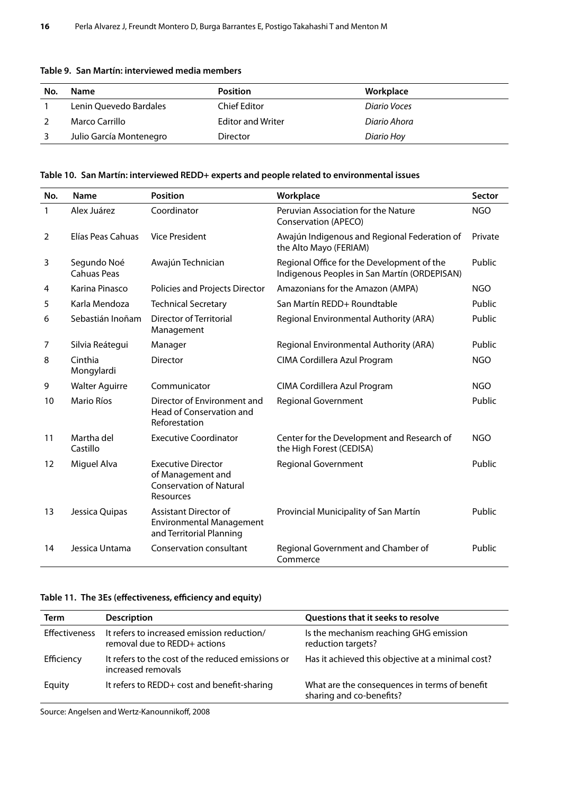| No. | Name                    | <b>Position</b>          | Workplace    |  |
|-----|-------------------------|--------------------------|--------------|--|
|     | Lenin Quevedo Bardales  | Chief Editor             | Diario Voces |  |
|     | Marco Carrillo          | <b>Editor and Writer</b> | Diario Ahora |  |
|     | Julio García Montenegro | Director                 | Diario Hoy   |  |

#### <span id="page-27-0"></span>**Table 9. San Martín: interviewed media members**

#### **Table 10. San Martín: interviewed REDD+ experts and people related to environmental issues**

| No. | Name                              | <b>Position</b>                                                                               | Workplace                                                                                  | <b>Sector</b> |
|-----|-----------------------------------|-----------------------------------------------------------------------------------------------|--------------------------------------------------------------------------------------------|---------------|
| 1   | Alex Juárez                       | Coordinator                                                                                   | Peruvian Association for the Nature<br>Conservation (APECO)                                | <b>NGO</b>    |
| 2   | Elías Peas Cahuas                 | <b>Vice President</b>                                                                         | Awajún Indigenous and Regional Federation of<br>the Alto Mayo (FERIAM)                     | Private       |
| 3   | Segundo Noé<br><b>Cahuas Peas</b> | Awajún Technician                                                                             | Regional Office for the Development of the<br>Indigenous Peoples in San Martín (ORDEPISAN) | Public        |
| 4   | Karina Pinasco                    | Policies and Projects Director                                                                | Amazonians for the Amazon (AMPA)                                                           | <b>NGO</b>    |
| 5   | Karla Mendoza                     | <b>Technical Secretary</b>                                                                    | San Martín REDD+ Roundtable                                                                | Public        |
| 6   | Sebastián Inoñam                  | Director of Territorial<br>Management                                                         | Regional Environmental Authority (ARA)                                                     | Public        |
| 7   | Silvia Reátegui                   | Manager                                                                                       | Regional Environmental Authority (ARA)                                                     | Public        |
| 8   | Cinthia<br>Mongylardi             | <b>Director</b>                                                                               | CIMA Cordillera Azul Program                                                               | <b>NGO</b>    |
| 9   | <b>Walter Aguirre</b>             | Communicator                                                                                  | CIMA Cordillera Azul Program                                                               | NGO           |
| 10  | Mario Ríos                        | Director of Environment and<br>Head of Conservation and<br>Reforestation                      | <b>Regional Government</b>                                                                 | Public        |
| 11  | Martha del<br>Castillo            | <b>Executive Coordinator</b>                                                                  | Center for the Development and Research of<br>the High Forest (CEDISA)                     | <b>NGO</b>    |
| 12  | Miguel Alva                       | <b>Executive Director</b><br>of Management and<br><b>Conservation of Natural</b><br>Resources | <b>Regional Government</b>                                                                 | Public        |
| 13  | Jessica Quipas                    | <b>Assistant Director of</b><br><b>Environmental Management</b><br>and Territorial Planning   | Provincial Municipality of San Martín                                                      | Public        |
| 14  | Jessica Untama                    | Conservation consultant                                                                       | Regional Government and Chamber of<br>Commerce                                             | Public        |

#### **Table 11. The 3Es (effectiveness, efficiency and equity)**

| Term                 | <b>Description</b>                                                         | Questions that it seeks to resolve                                        |
|----------------------|----------------------------------------------------------------------------|---------------------------------------------------------------------------|
| <b>Effectiveness</b> | It refers to increased emission reduction/<br>removal due to REDD+ actions | Is the mechanism reaching GHG emission<br>reduction targets?              |
| Efficiency           | It refers to the cost of the reduced emissions or<br>increased removals    | Has it achieved this objective at a minimal cost?                         |
| Equity               | It refers to REDD+ cost and benefit-sharing                                | What are the consequences in terms of benefit<br>sharing and co-benefits? |

Source: Angelsen and Wertz-Kanounnikoff, 2008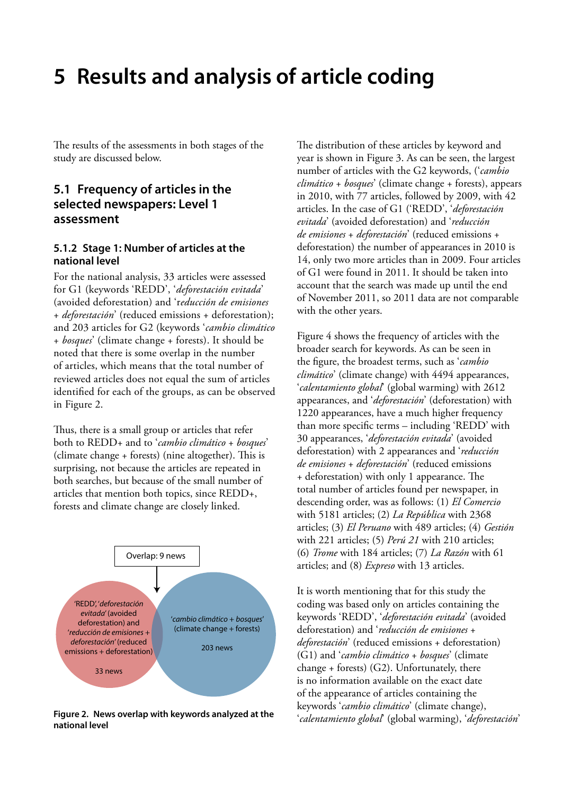# <span id="page-28-0"></span>**5 Results and analysis of article coding**

The results of the assessments in both stages of the study are discussed below.

### **5.1 Frequency of articles in the selected newspapers: Level 1 assessment**

#### **5.1.2 Stage 1: Number of articles at the national level**

For the national analysis, 33 articles were assessed for G1 (keywords 'REDD', '*deforestación evitada*' (avoided deforestation) and 'r*educción de emisiones* + *deforestación*' (reduced emissions + deforestation); and 203 articles for G2 (keywords '*cambio climático* + *bosques*' (climate change + forests). It should be noted that there is some overlap in the number of articles, which means that the total number of reviewed articles does not equal the sum of articles identified for each of the groups, as can be observed in Figure 2.

Thus, there is a small group or articles that refer both to REDD+ and to '*cambio climático* + *bosques*' (climate change + forests) (nine altogether). This is surprising, not because the articles are repeated in both searches, but because of the small number of articles that mention both topics, since REDD+, forests and climate change are closely linked.



**national level** 

The distribution of these articles by keyword and year is shown in Figure 3. As can be seen, the largest number of articles with the G2 keywords, ('*cambio climático* + *bosques*' (climate change + forests), appears in 2010, with 77 articles, followed by 2009, with 42 articles. In the case of G1 ('REDD', '*deforestación evitada*' (avoided deforestation) and '*reducción de emisiones* + *deforestación*' (reduced emissions + deforestation) the number of appearances in 2010 is 14, only two more articles than in 2009. Four articles of G1 were found in 2011. It should be taken into account that the search was made up until the end of November 2011, so 2011 data are not comparable with the other years.

Figure 4 shows the frequency of articles with the broader search for keywords. As can be seen in the figure, the broadest terms, such as '*cambio climático*' (climate change) with 4494 appearances, '*calentamiento global*' (global warming) with 2612 appearances, and '*deforestación*' (deforestation) with 1220 appearances, have a much higher frequency than more specific terms – including 'REDD' with 30 appearances, '*deforestación evitada*' (avoided deforestation) with 2 appearances and '*reducción de emisiones* + *deforestación*' (reduced emissions + deforestation) with only 1 appearance. The total number of articles found per newspaper, in descending order, was as follows: (1) *El Comercio* with 5181 articles; (2) *La República* with 2368 articles; (3) *El Peruano* with 489 articles; (4) *Gestión* with 221 articles; (5) *Perú 21* with 210 articles; (6) *Trome* with 184 articles; (7) *La Razón* with 61 articles; and (8) *Expreso* with 13 articles.

It is worth mentioning that for this study the coding was based only on articles containing the keywords 'REDD', '*deforestación evitada*' (avoided deforestation) and '*reducción de emisiones* + *deforestación*' (reduced emissions + deforestation) (G1) and '*cambio climático* + *bosques*' (climate change + forests) (G2). Unfortunately, there is no information available on the exact date of the appearance of articles containing the keywords '*cambio climático*' (climate change), '*calentamiento global*' (global warming), '*deforestación*' **Figure 2. News overlap with keywords analyzed at the**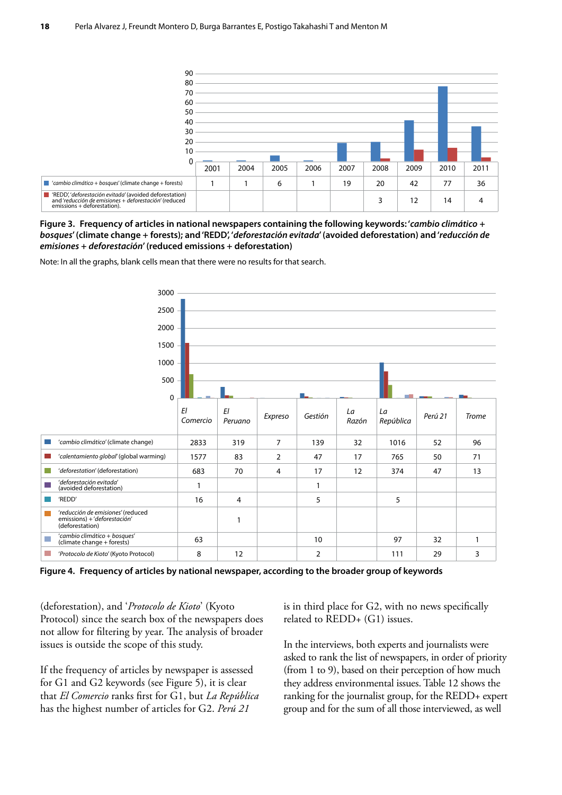<span id="page-29-0"></span>

**Figure 3. Frequency of articles in national newspapers containing the following keywords: '***cambio climático* **+**  *bosques***' (climate change + forests); and 'REDD', '***deforestación evitada***' (avoided deforestation) and '***reducción de emisiones* **+** *deforestación***' (reduced emissions + deforestation)**

Note: In all the graphs, blank cells mean that there were no results for that search.



**Figure 4. Frequency of articles by national newspaper, according to the broader group of keywords**

(deforestation), and '*Protocolo de Kioto*' (Kyoto Protocol) since the search box of the newspapers does not allow for filtering by year. The analysis of broader issues is outside the scope of this study.

If the frequency of articles by newspaper is assessed for G1 and G2 keywords (see Figure 5), it is clear that *El Comercio* ranks first for G1, but *La República* has the highest number of articles for G2. *Perú 21*

is in third place for G2, with no news specifically related to REDD+ (G1) issues.

In the interviews, both experts and journalists were asked to rank the list of newspapers, in order of priority (from 1 to 9), based on their perception of how much they address environmental issues. Table 12 shows the ranking for the journalist group, for the REDD+ expert group and for the sum of all those interviewed, as well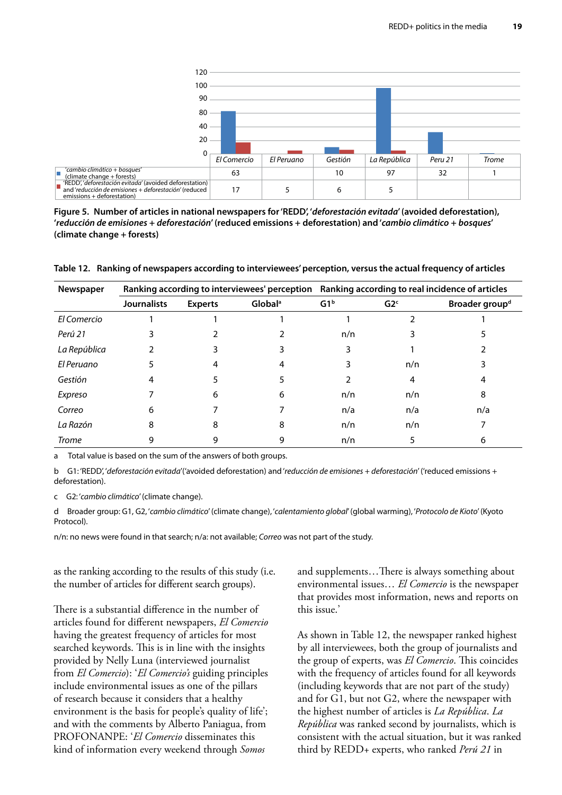<span id="page-30-0"></span>

**Figure 5. Number of articles in national newspapers for 'REDD', '***deforestación evitada***' (avoided deforestation), '***reducción de emisiones* **+** *deforestación***' (reduced emissions + deforestation) and '***cambio climático* **+** *bosques***' (climate change + forests)**

**Table 12. Ranking of newspapers according to interviewees' perception, versus the actual frequency of articles**

| Newspaper    | Ranking according to interviewees' perception Ranking according to real incidence of articles |                |                     |                 |                 |                            |
|--------------|-----------------------------------------------------------------------------------------------|----------------|---------------------|-----------------|-----------------|----------------------------|
|              | <b>Journalists</b>                                                                            | <b>Experts</b> | Global <sup>a</sup> | G1 <sup>b</sup> | G2 <sup>c</sup> | Broader group <sup>d</sup> |
| El Comercio  |                                                                                               |                |                     |                 |                 |                            |
| Perú 21      |                                                                                               |                |                     | n/n             |                 |                            |
| La República |                                                                                               |                |                     |                 |                 |                            |
| El Peruano   |                                                                                               |                |                     |                 | n/n             |                            |
| Gestión      |                                                                                               |                |                     |                 | 4               | 4                          |
| Expreso      |                                                                                               | 6              | 6                   | n/n             | n/n             | 8                          |
| Correo       | 6                                                                                             |                |                     | n/a             | n/a             | n/a                        |
| La Razón     | 8                                                                                             | 8              | 8                   | n/n             | n/n             |                            |
| <b>Trome</b> |                                                                                               |                | 9                   | n/n             |                 | 6                          |

a Total value is based on the sum of the answers of both groups.

b G1: 'REDD', '*deforestación evitada*'('avoided deforestation) and '*reducción de emisiones + deforestación*' ('reduced emissions + deforestation).

c G2: '*cambio climático*' (climate change).

d Broader group: G1, G2, '*cambio climático*' (climate change), '*calentamiento global*' (global warming), '*Protocolo de Kioto*' (Kyoto Protocol).

n/n: no news were found in that search; n/a: not available; *Correo* was not part of the study.

as the ranking according to the results of this study (i.e. the number of articles for different search groups).

There is a substantial difference in the number of articles found for different newspapers, *El Comercio* having the greatest frequency of articles for most searched keywords. This is in line with the insights provided by Nelly Luna (interviewed journalist from *El Comercio*): '*El Comercio's* guiding principles include environmental issues as one of the pillars of research because it considers that a healthy environment is the basis for people's quality of life'; and with the comments by Alberto Paniagua, from PROFONANPE: '*El Comercio* disseminates this kind of information every weekend through *Somos*

and supplements…There is always something about environmental issues… *El Comercio* is the newspaper that provides most information, news and reports on this issue.'

As shown in Table 12, the newspaper ranked highest by all interviewees, both the group of journalists and the group of experts, was *El Comercio*. This coincides with the frequency of articles found for all keywords (including keywords that are not part of the study) and for G1, but not G2, where the newspaper with the highest number of articles is *La República*. *La República* was ranked second by journalists, which is consistent with the actual situation, but it was ranked third by REDD+ experts, who ranked *Perú 21* in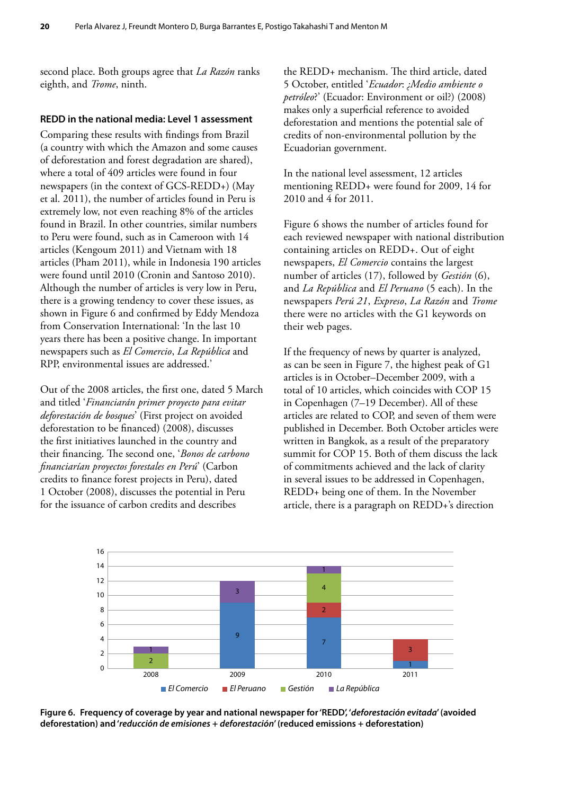<span id="page-31-0"></span>second place. Both groups agree that *La Razón* ranks eighth, and *Trome*, ninth.

#### **REDD in the national media: Level 1 assessment**

Comparing these results with findings from Brazil (a country with which the Amazon and some causes of deforestation and forest degradation are shared), where a total of 409 articles were found in four newspapers (in the context of GCS-REDD+) (May et al. 2011), the number of articles found in Peru is extremely low, not even reaching 8% of the articles found in Brazil. In other countries, similar numbers to Peru were found, such as in Cameroon with 14 articles (Kengoum 2011) and Vietnam with 18 articles (Pham 2011), while in Indonesia 190 articles were found until 2010 (Cronin and Santoso 2010). Although the number of articles is very low in Peru, there is a growing tendency to cover these issues, as shown in Figure 6 and confirmed by Eddy Mendoza from Conservation International: 'In the last 10 years there has been a positive change. In important newspapers such as *El Comercio*, *La República* and RPP, environmental issues are addressed.'

Out of the 2008 articles, the first one, dated 5 March and titled '*Financiarán primer proyecto para evitar deforestación de bosques*' (First project on avoided deforestation to be financed) (2008), discusses the first initiatives launched in the country and their financing. The second one, '*Bonos de carbono financiarían proyectos forestales en Perú*' (Carbon credits to finance forest projects in Peru), dated 1 October (2008), discusses the potential in Peru for the issuance of carbon credits and describes

the REDD+ mechanism. The third article, dated 5 October, entitled '*Ecuador*: *¿Medio ambiente o petróleo*?' (Ecuador: Environment or oil?) (2008) makes only a superficial reference to avoided deforestation and mentions the potential sale of credits of non-environmental pollution by the Ecuadorian government.

In the national level assessment, 12 articles mentioning REDD+ were found for 2009, 14 for 2010 and 4 for 2011.

Figure 6 shows the number of articles found for each reviewed newspaper with national distribution containing articles on REDD+. Out of eight newspapers, *El Comercio* contains the largest number of articles (17), followed by *Gestión* (6), and *La República* and *El Peruano* (5 each). In the newspapers *Perú 21*, *Expreso*, *La Razón* and *Trome* there were no articles with the G1 keywords on their web pages.

If the frequency of news by quarter is analyzed, as can be seen in Figure 7, the highest peak of G1 articles is in October–December 2009, with a total of 10 articles, which coincides with COP 15 in Copenhagen (7–19 December). All of these articles are related to COP, and seven of them were published in December. Both October articles were written in Bangkok, as a result of the preparatory summit for COP 15. Both of them discuss the lack of commitments achieved and the lack of clarity in several issues to be addressed in Copenhagen, REDD+ being one of them. In the November article, there is a paragraph on REDD+'s direction



**Figure 6. Frequency of coverage by year and national newspaper for 'REDD', '***deforestación evitada***' (avoided deforestation) and '***reducción de emisiones* **+** *deforestación***' (reduced emissions + deforestation)**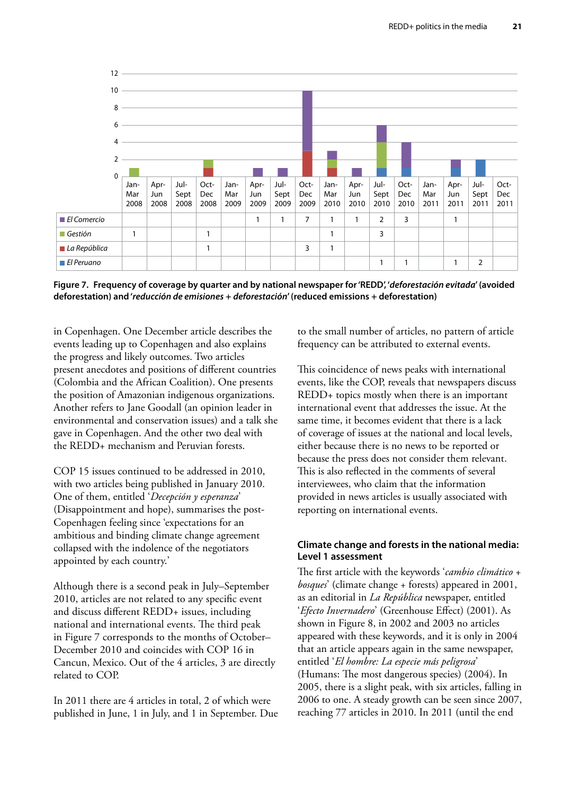<span id="page-32-0"></span>

**Figure 7. Frequency of coverage by quarter and by national newspaper for 'REDD', '***deforestación evitada***' (avoided deforestation) and '***reducción de emisiones* **+** *deforestación***' (reduced emissions + deforestation)**

in Copenhagen. One December article describes the events leading up to Copenhagen and also explains the progress and likely outcomes. Two articles present anecdotes and positions of different countries (Colombia and the African Coalition). One presents the position of Amazonian indigenous organizations. Another refers to Jane Goodall (an opinion leader in environmental and conservation issues) and a talk she gave in Copenhagen. And the other two deal with the REDD+ mechanism and Peruvian forests.

COP 15 issues continued to be addressed in 2010, with two articles being published in January 2010. One of them, entitled '*Decepción y esperanza*' (Disappointment and hope), summarises the post-Copenhagen feeling since 'expectations for an ambitious and binding climate change agreement collapsed with the indolence of the negotiators appointed by each country.'

Although there is a second peak in July–September 2010, articles are not related to any specific event and discuss different REDD+ issues, including national and international events. The third peak in Figure 7 corresponds to the months of October– December 2010 and coincides with COP 16 in Cancun, Mexico. Out of the 4 articles, 3 are directly related to COP.

In 2011 there are 4 articles in total, 2 of which were published in June, 1 in July, and 1 in September. Due to the small number of articles, no pattern of article frequency can be attributed to external events.

This coincidence of news peaks with international events, like the COP, reveals that newspapers discuss REDD+ topics mostly when there is an important international event that addresses the issue. At the same time, it becomes evident that there is a lack of coverage of issues at the national and local levels, either because there is no news to be reported or because the press does not consider them relevant. This is also reflected in the comments of several interviewees, who claim that the information provided in news articles is usually associated with reporting on international events.

#### **Climate change and forests in the national media: Level 1 assessment**

The first article with the keywords '*cambio climático* + *bosques*' (climate change + forests) appeared in 2001, as an editorial in *La República* newspaper, entitled '*Efecto Invernadero*' (Greenhouse Effect) (2001). As shown in Figure 8, in 2002 and 2003 no articles appeared with these keywords, and it is only in 2004 that an article appears again in the same newspaper, entitled '*El hombre: La especie más peligrosa*' (Humans: The most dangerous species) (2004). In 2005, there is a slight peak, with six articles, falling in 2006 to one. A steady growth can be seen since 2007, reaching 77 articles in 2010. In 2011 (until the end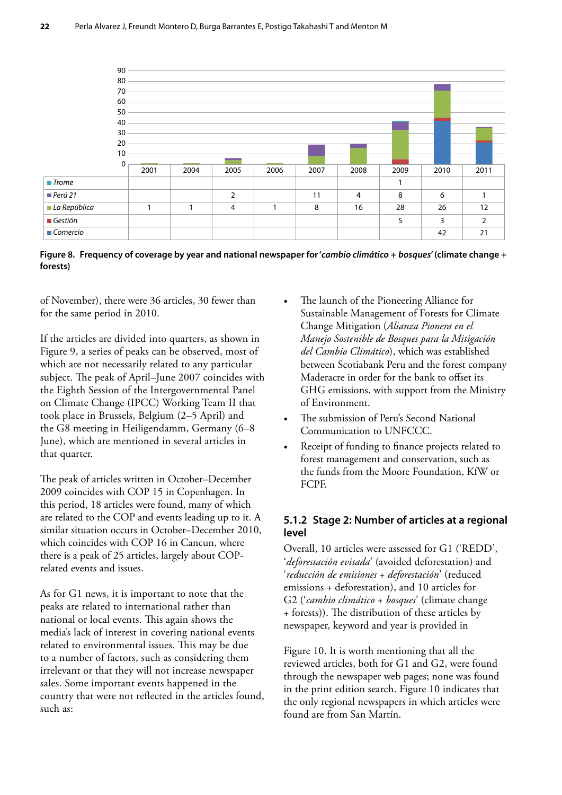<span id="page-33-0"></span>

**Figure 8. Frequency of coverage by year and national newspaper for '***cambio climático* **+** *bosques***' (climate change + forests)**

of November), there were 36 articles, 30 fewer than for the same period in 2010.

If the articles are divided into quarters, as shown in Figure 9, a series of peaks can be observed, most of which are not necessarily related to any particular subject. The peak of April–June 2007 coincides with the Eighth Session of the Intergovernmental Panel on Climate Change (IPCC) Working Team II that took place in Brussels, Belgium (2–5 April) and the G8 meeting in Heiligendamm, Germany (6–8 June), which are mentioned in several articles in that quarter.

The peak of articles written in October–December 2009 coincides with COP 15 in Copenhagen. In this period, 18 articles were found, many of which are related to the COP and events leading up to it. A similar situation occurs in October–December 2010, which coincides with COP 16 in Cancun, where there is a peak of 25 articles, largely about COPrelated events and issues.

As for G1 news, it is important to note that the peaks are related to international rather than national or local events. This again shows the media's lack of interest in covering national events related to environmental issues. This may be due to a number of factors, such as considering them irrelevant or that they will not increase newspaper sales. Some important events happened in the country that were not reflected in the articles found, such as:

- The launch of the Pioneering Alliance for Sustainable Management of Forests for Climate Change Mitigation (*Alianza Pionera en el Manejo Sostenible de Bosques para la Mitigación del Cambio Climático*), which was established between Scotiabank Peru and the forest company Maderacre in order for the bank to offset its GHG emissions, with support from the Ministry of Environment.
- The submission of Peru's Second National Communication to UNFCCC.
- Receipt of funding to finance projects related to forest management and conservation, such as the funds from the Moore Foundation, KfW or FCPF.

#### **5.1.2 Stage 2: Number of articles at a regional level**

Overall, 10 articles were assessed for G1 ('REDD', '*deforestación evitada*' (avoided deforestation) and '*reducción de emisiones* + *deforestación*' (reduced emissions + deforestation), and 10 articles for G2 ('*cambio climático* + *bosques*' (climate change + forests)). The distribution of these articles by newspaper, keyword and year is provided in

Figure 10. It is worth mentioning that all the reviewed articles, both for G1 and G2, were found through the newspaper web pages; none was found in the print edition search. Figure 10 indicates that the only regional newspapers in which articles were found are from San Martín.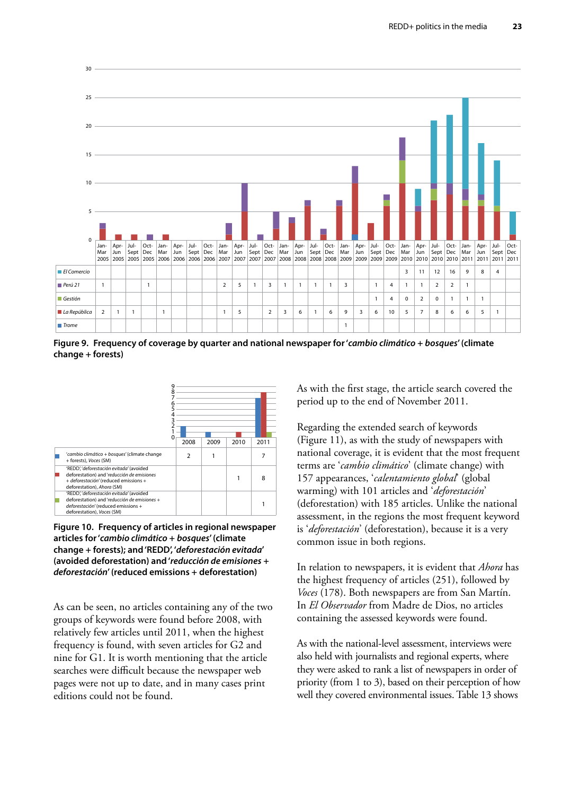<span id="page-34-0"></span>

**Figure 9. Frequency of coverage by quarter and national newspaper for '***cambio climático* **+** *bosques***' (climate change + forests)**



**Figure 10. Frequency of articles in regional newspaper articles for '***cambio climático* **+** *bosques***' (climate change + forests); and 'REDD', '***deforestación evitada***' (avoided deforestation) and '***reducción de emisiones* **+**  *deforestación***' (reduced emissions + deforestation)**

As can be seen, no articles containing any of the two groups of keywords were found before 2008, with relatively few articles until 2011, when the highest frequency is found, with seven articles for G2 and nine for G1. It is worth mentioning that the article searches were difficult because the newspaper web pages were not up to date, and in many cases print editions could not be found.

As with the first stage, the article search covered the period up to the end of November 2011.

Regarding the extended search of keywords (Figure 11), as with the study of newspapers with national coverage, it is evident that the most frequent terms are '*cambio climático*' (climate change) with 157 appearances, '*calentamiento global*' (global warming) with 101 articles and '*deforestación*' (deforestation) with 185 articles. Unlike the national assessment, in the regions the most frequent keyword is '*deforestación*' (deforestation), because it is a very common issue in both regions.

In relation to newspapers, it is evident that *Ahora* has the highest frequency of articles (251), followed by *Voces* (178). Both newspapers are from San Martín. In *El Observador* from Madre de Dios, no articles containing the assessed keywords were found.

As with the national-level assessment, interviews were also held with journalists and regional experts, where they were asked to rank a list of newspapers in order of priority (from 1 to 3), based on their perception of how well they covered environmental issues. Table 13 shows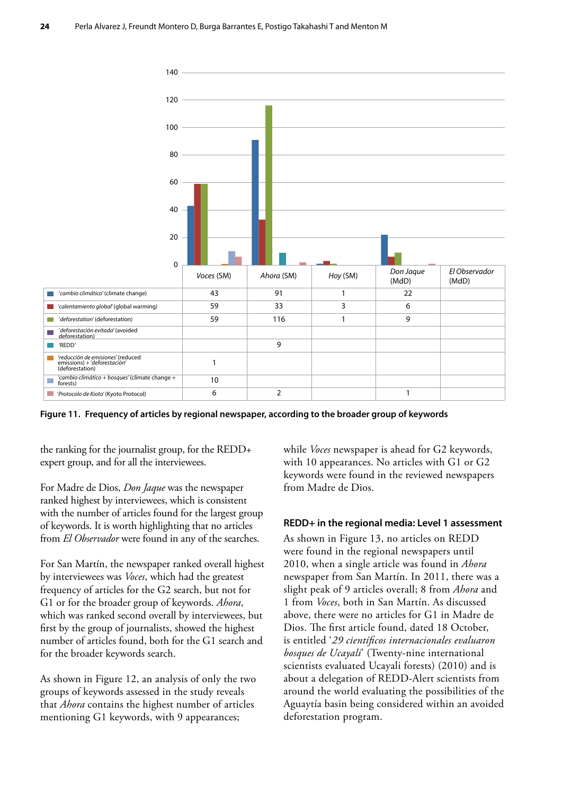<span id="page-35-0"></span>

**Figure 11. Frequency of articles by regional newspaper, according to the broader group of keywords**

the ranking for the journalist group, for the REDD+ expert group, and for all the interviewees.

For Madre de Dios, *Don Jaque* was the newspaper ranked highest by interviewees, which is consistent with the number of articles found for the largest group of keywords. It is worth highlighting that no articles from *El Observador* were found in any of the searches.

For San Martín, the newspaper ranked overall highest by interviewees was *Voces*, which had the greatest frequency of articles for the G2 search, but not for G1 or for the broader group of keywords. *Ahora*, which was ranked second overall by interviewees, but first by the group of journalists, showed the highest number of articles found, both for the G1 search and for the broader keywords search.

As shown in Figure 12, an analysis of only the two groups of keywords assessed in the study reveals that *Ahora* contains the highest number of articles mentioning G1 keywords, with 9 appearances;

while *Voces* newspaper is ahead for G2 keywords, with 10 appearances. No articles with G1 or G2 keywords were found in the reviewed newspapers from Madre de Dios.

#### **REDD+ in the regional media: Level 1 assessment**

As shown in Figure 13, no articles on REDD were found in the regional newspapers until 2010, when a single article was found in *Ahora* newspaper from San Martín. In 2011, there was a slight peak of 9 articles overall; 8 from *Ahora* and 1 from *Voces*, both in San Martín. As discussed above, there were no articles for G1 in Madre de Dios. The first article found, dated 18 October, is entitled '*29 científicos internacionales evaluaron bosques de Ucayali*' (Twenty-nine international scientists evaluated Ucayali forests) (2010) and is about a delegation of REDD-Alert scientists from around the world evaluating the possibilities of the Aguaytía basin being considered within an avoided deforestation program.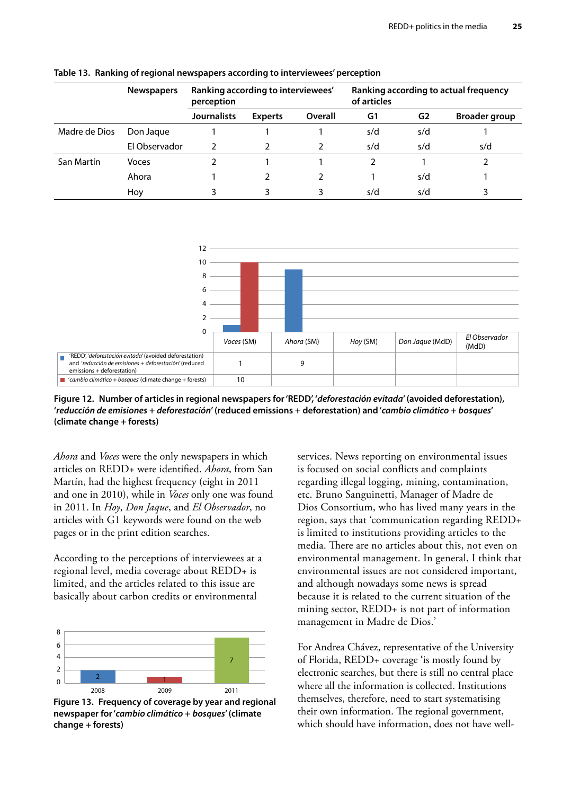|               | Ranking according to interviewees'<br><b>Newspapers</b><br>perception |                    | Ranking according to actual frequency<br>of articles |         |     |                |                      |
|---------------|-----------------------------------------------------------------------|--------------------|------------------------------------------------------|---------|-----|----------------|----------------------|
|               |                                                                       | <b>Journalists</b> | <b>Experts</b>                                       | Overall | G1  | G <sub>2</sub> | <b>Broader group</b> |
| Madre de Dios | Don Jaque                                                             |                    |                                                      |         | s/d | s/d            |                      |
|               | El Observador                                                         |                    |                                                      |         | s/d | s/d            | s/d                  |
| San Martín    | Voces                                                                 |                    |                                                      |         | 2   |                |                      |
|               | Ahora                                                                 |                    | 2                                                    | 2       |     | s/d            |                      |
|               | Hoy                                                                   |                    |                                                      |         | s/d | s/d            |                      |

<span id="page-36-0"></span>**Table 13. Ranking of regional newspapers according to interviewees' perception**



**Figure 12. Number of articles in regional newspapers for 'REDD', '***deforestación evitada***' (avoided deforestation), '***reducción de emisiones* **+** *deforestación***' (reduced emissions + deforestation) and '***cambio climático* **+** *bosques***' (climate change + forests)**

*Ahora* and *Voces* were the only newspapers in which articles on REDD+ were identified. *Ahora*, from San Martín, had the highest frequency (eight in 2011 and one in 2010), while in *Voces* only one was found in 2011. In *Hoy*, *Don Jaque*, and *El Observador*, no articles with G1 keywords were found on the web pages or in the print edition searches.

According to the perceptions of interviewees at a regional level, media coverage about REDD+ is limited, and the articles related to this issue are basically about carbon credits or environmental



**Figure 13. Frequency of coverage by year and regional newspaper for '***cambio climático* **+** *bosques***' (climate change + forests)**

services. News reporting on environmental issues is focused on social conflicts and complaints regarding illegal logging, mining, contamination, etc. Bruno Sanguinetti, Manager of Madre de Dios Consortium, who has lived many years in the region, says that 'communication regarding REDD+ is limited to institutions providing articles to the media. There are no articles about this, not even on environmental management. In general, I think that environmental issues are not considered important, and although nowadays some news is spread because it is related to the current situation of the mining sector, REDD+ is not part of information management in Madre de Dios.'

For Andrea Chávez, representative of the University of Florida, REDD+ coverage 'is mostly found by electronic searches, but there is still no central place where all the information is collected. Institutions themselves, therefore, need to start systematising their own information. The regional government, which should have information, does not have well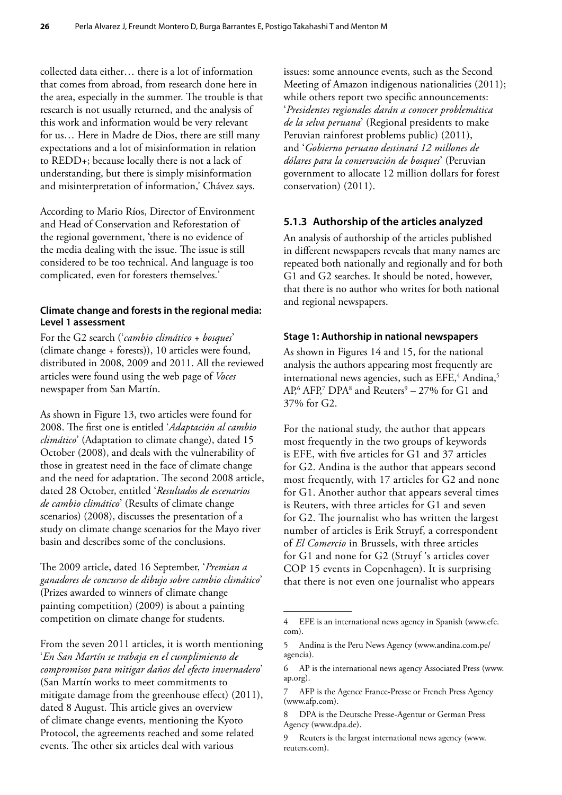collected data either… there is a lot of information that comes from abroad, from research done here in the area, especially in the summer. The trouble is that research is not usually returned, and the analysis of this work and information would be very relevant for us… Here in Madre de Dios, there are still many expectations and a lot of misinformation in relation to REDD+; because locally there is not a lack of understanding, but there is simply misinformation and misinterpretation of information,' Chávez says.

According to Mario Ríos, Director of Environment and Head of Conservation and Reforestation of the regional government, 'there is no evidence of the media dealing with the issue. The issue is still considered to be too technical. And language is too complicated, even for foresters themselves.'

#### **Climate change and forests in the regional media: Level 1 assessment**

For the G2 search ('*cambio climático* + *bosques*' (climate change + forests)), 10 articles were found, distributed in 2008, 2009 and 2011. All the reviewed articles were found using the web page of *Voces* newspaper from San Martín.

As shown in Figure 13, two articles were found for 2008. The first one is entitled '*Adaptación al cambio climático*' (Adaptation to climate change), dated 15 October (2008), and deals with the vulnerability of those in greatest need in the face of climate change and the need for adaptation. The second 2008 article, dated 28 October, entitled '*Resultados de escenarios de cambio climático*' (Results of climate change scenarios) (2008), discusses the presentation of a study on climate change scenarios for the Mayo river basin and describes some of the conclusions.

The 2009 article, dated 16 September, '*Premian a ganadores de concurso de dibujo sobre cambio climático*' (Prizes awarded to winners of climate change painting competition) (2009) is about a painting competition on climate change for students.

From the seven 2011 articles, it is worth mentioning '*En San Martín se trabaja en el cumplimiento de compromisos para mitigar daños del efecto invernadero*' (San Martín works to meet commitments to mitigate damage from the greenhouse effect) (2011), dated 8 August. This article gives an overview of climate change events, mentioning the Kyoto Protocol, the agreements reached and some related events. The other six articles deal with various

issues: some announce events, such as the Second Meeting of Amazon indigenous nationalities (2011); while others report two specific announcements: '*Presidentes regionales darán a conocer problemática de la selva peruana*' (Regional presidents to make Peruvian rainforest problems public) (2011), and '*Gobierno peruano destinará 12 millones de dólares para la conservación de bosques*' (Peruvian government to allocate 12 million dollars for forest conservation) (2011).

#### **5.1.3 Authorship of the articles analyzed**

An analysis of authorship of the articles published in different newspapers reveals that many names are repeated both nationally and regionally and for both G1 and G2 searches. It should be noted, however, that there is no author who writes for both national and regional newspapers.

#### **Stage 1: Authorship in national newspapers**

As shown in Figures 14 and 15, for the national analysis the authors appearing most frequently are international news agencies, such as EFE,<sup>4</sup> Andina,<sup>5</sup>  $AP<sub>6</sub>$  AFP,<sup>7</sup> DPA<sup>8</sup> and Reuters<sup>9</sup> – 27% for G1 and 37% for G2.

For the national study, the author that appears most frequently in the two groups of keywords is EFE, with five articles for G1 and 37 articles for G2. Andina is the author that appears second most frequently, with 17 articles for G2 and none for G1. Another author that appears several times is Reuters, with three articles for G1 and seven for G2. The journalist who has written the largest number of articles is Erik Struyf, a correspondent of *El Comercio* in Brussels, with three articles for G1 and none for G2 (Struyf 's articles cover COP 15 events in Copenhagen). It is surprising that there is not even one journalist who appears

<sup>4</sup> EFE is an international news agency in Spanish (www.efe. com).

<sup>5</sup> Andina is the Peru News Agency (www.andina.com.pe/ agencia).

<sup>6</sup> AP is the international news agency Associated Press (www. ap.org).

<sup>7</sup> AFP is the Agence France-Presse or French Press Agency (www.afp.com).

<sup>8</sup> DPA is the Deutsche Presse-Agentur or German Press Agency (www.dpa.de).

<sup>9</sup> Reuters is the largest international news agency (www. reuters.com).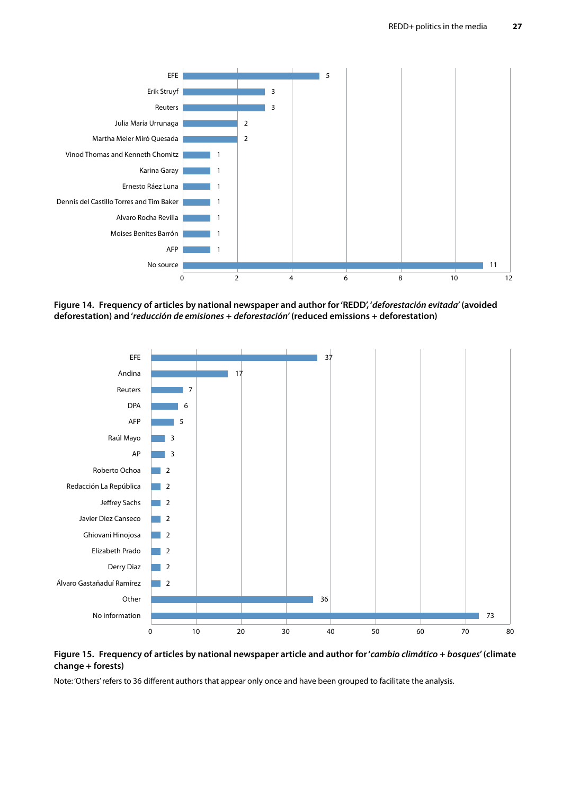<span id="page-38-0"></span>

**Figure 14. Frequency of articles by national newspaper and author for 'REDD', '***deforestación evitada***' (avoided deforestation) and '***reducción de emisiones* **+** *deforestación***' (reduced emissions + deforestation)**





Note: 'Others' refers to 36 different authors that appear only once and have been grouped to facilitate the analysis.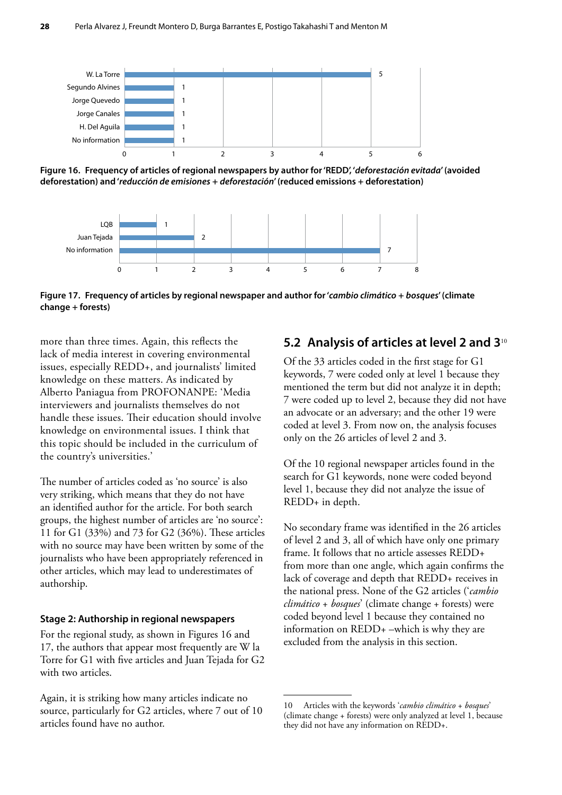<span id="page-39-0"></span>

**Figure 16. Frequency of articles of regional newspapers by author for 'REDD', '***deforestación evitada***' (avoided deforestation) and '***reducción de emisiones* **+** *deforestación***' (reduced emissions + deforestation)**



**Figure 17. Frequency of articles by regional newspaper and author for '***cambio climático* **+** *bosques***' (climate change + forests)**

more than three times. Again, this reflects the lack of media interest in covering environmental issues, especially REDD+, and journalists' limited knowledge on these matters. As indicated by Alberto Paniagua from PROFONANPE: 'Media interviewers and journalists themselves do not handle these issues. Their education should involve knowledge on environmental issues. I think that this topic should be included in the curriculum of the country's universities.'

The number of articles coded as 'no source' is also very striking, which means that they do not have an identified author for the article. For both search groups, the highest number of articles are 'no source': 11 for G1 (33%) and 73 for G2 (36%). These articles with no source may have been written by some of the journalists who have been appropriately referenced in other articles, which may lead to underestimates of authorship.

#### **Stage 2: Authorship in regional newspapers**

For the regional study, as shown in Figures 16 and 17, the authors that appear most frequently are W la Torre for G1 with five articles and Juan Tejada for G2 with two articles.

Again, it is striking how many articles indicate no source, particularly for G2 articles, where 7 out of 10 articles found have no author.

#### **5.2 Analysis of articles at level 2 and 3**<sup>10</sup>

Of the 33 articles coded in the first stage for G1 keywords, 7 were coded only at level 1 because they mentioned the term but did not analyze it in depth; 7 were coded up to level 2, because they did not have an advocate or an adversary; and the other 19 were coded at level 3. From now on, the analysis focuses only on the 26 articles of level 2 and 3.

Of the 10 regional newspaper articles found in the search for G1 keywords, none were coded beyond level 1, because they did not analyze the issue of REDD+ in depth.

No secondary frame was identified in the 26 articles of level 2 and 3, all of which have only one primary frame. It follows that no article assesses REDD+ from more than one angle, which again confirms the lack of coverage and depth that REDD+ receives in the national press. None of the G2 articles ('*cambio climático* + *bosques*' (climate change + forests) were coded beyond level 1 because they contained no information on REDD+ –which is why they are excluded from the analysis in this section.

<sup>10</sup> Articles with the keywords '*cambio climático* + *bosques*' (climate change + forests) were only analyzed at level 1, because they did not have any information on REDD+.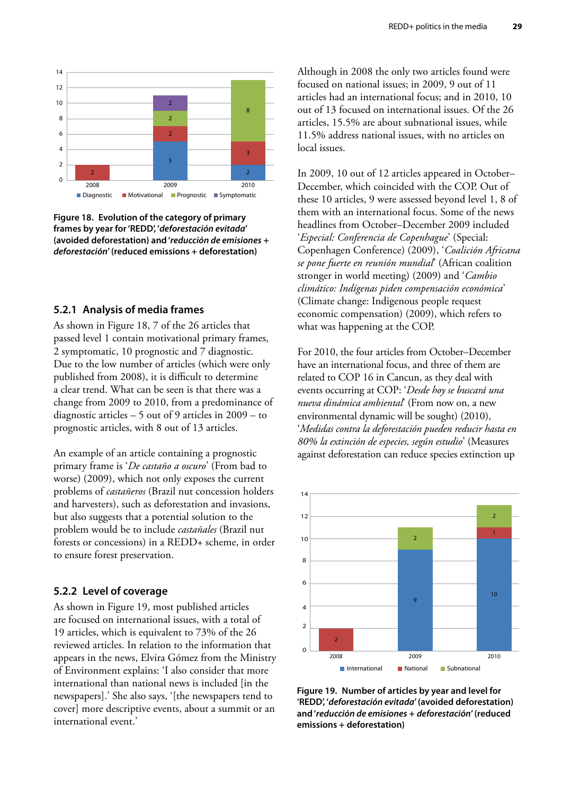<span id="page-40-0"></span>

**Figure 18. Evolution of the category of primary frames by year for 'REDD', '***deforestación evitada***' (avoided deforestation) and '***reducción de emisiones* **+**  *deforestación***' (reduced emissions + deforestation)**

#### **5.2.1 Analysis of media frames**

As shown in Figure 18, 7 of the 26 articles that passed level 1 contain motivational primary frames, 2 symptomatic, 10 prognostic and 7 diagnostic. Due to the low number of articles (which were only published from 2008), it is difficult to determine a clear trend. What can be seen is that there was a change from 2009 to 2010, from a predominance of diagnostic articles – 5 out of 9 articles in 2009 – to prognostic articles, with 8 out of 13 articles.

An example of an article containing a prognostic primary frame is '*De castaño a oscuro*' (From bad to worse) (2009), which not only exposes the current problems of *castañeros* (Brazil nut concession holders and harvesters), such as deforestation and invasions, but also suggests that a potential solution to the problem would be to include *castañales* (Brazil nut forests or concessions) in a REDD+ scheme, in order to ensure forest preservation.

#### **5.2.2 Level of coverage**

As shown in Figure 19, most published articles are focused on international issues, with a total of 19 articles, which is equivalent to 73% of the 26 reviewed articles. In relation to the information that appears in the news, Elvira Gómez from the Ministry of Environment explains: 'I also consider that more international than national news is included [in the newspapers].' She also says, '[the newspapers tend to cover] more descriptive events, about a summit or an international event.'

Although in 2008 the only two articles found were focused on national issues; in 2009, 9 out of 11 articles had an international focus; and in 2010, 10 out of 13 focused on international issues. Of the 26 articles, 15.5% are about subnational issues, while 11.5% address national issues, with no articles on local issues.

In 2009, 10 out of 12 articles appeared in October– December, which coincided with the COP. Out of these 10 articles, 9 were assessed beyond level 1, 8 of them with an international focus. Some of the news headlines from October–December 2009 included '*Especial: Conferencia de Copenhague*' (Special: Copenhagen Conference) (2009), '*Coalición Africana se pone fuerte en reunión mundial*' (African coalition stronger in world meeting) (2009) and '*Cambio climático: Indígenas piden compensación económica*' (Climate change: Indigenous people request economic compensation) (2009), which refers to what was happening at the COP.

For 2010, the four articles from October–December have an international focus, and three of them are related to COP 16 in Cancun, as they deal with events occurring at COP: '*Desde hoy se buscará una nueva dinámica ambiental*' (From now on, a new environmental dynamic will be sought) (2010), '*Medidas contra la deforestación pueden reducir hasta en 80% la extinción de especies, según estudio*' (Measures against deforestation can reduce species extinction up



**Figure 19. Number of articles by year and level for 'REDD', '***deforestación evitada***' (avoided deforestation) and '***reducción de emisiones* **+** *deforestación***' (reduced emissions + deforestation)**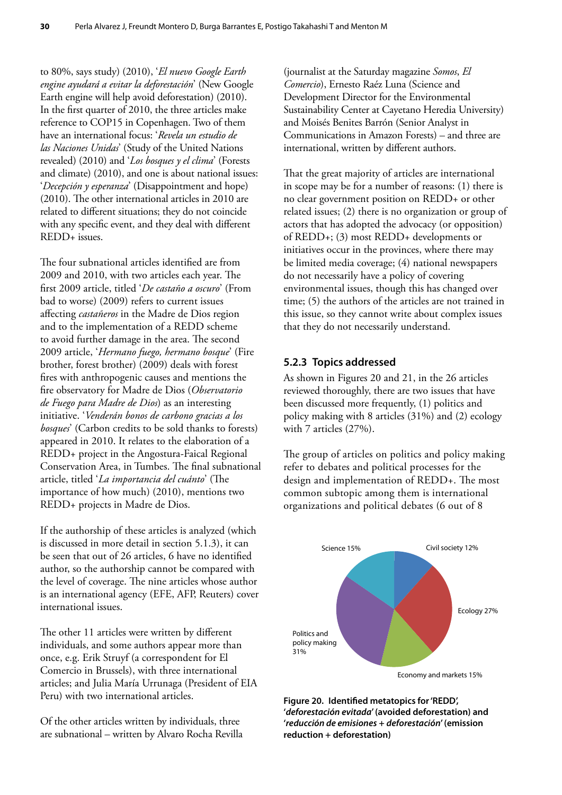<span id="page-41-0"></span>to 80%, says study) (2010), '*El nuevo Google Earth engine ayudará a evitar la deforestación*' (New Google Earth engine will help avoid deforestation) (2010). In the first quarter of 2010, the three articles make reference to COP15 in Copenhagen. Two of them have an international focus: '*Revela un estudio de las Naciones Unidas*' (Study of the United Nations revealed) (2010) and '*Los bosques y el clima*' (Forests and climate) (2010), and one is about national issues: '*Decepción y esperanza*' (Disappointment and hope) (2010). The other international articles in 2010 are related to different situations; they do not coincide with any specific event, and they deal with different REDD+ issues.

The four subnational articles identified are from 2009 and 2010, with two articles each year. The first 2009 article, titled '*De castaño a oscuro*' (From bad to worse) (2009) refers to current issues affecting *castañeros* in the Madre de Dios region and to the implementation of a REDD scheme to avoid further damage in the area. The second 2009 article, '*Hermano fuego, hermano bosque*' (Fire brother, forest brother) (2009) deals with forest fires with anthropogenic causes and mentions the fire observatory for Madre de Dios (*Observatorio de Fuego para Madre de Dios*) as an interesting initiative. '*Venderán bonos de carbono gracias a los bosques*' (Carbon credits to be sold thanks to forests) appeared in 2010. It relates to the elaboration of a REDD+ project in the Angostura-Faical Regional Conservation Area, in Tumbes. The final subnational article, titled '*La importancia del cuánto*' (The importance of how much) (2010), mentions two REDD+ projects in Madre de Dios.

If the authorship of these articles is analyzed (which is discussed in more detail in section 5.1.3), it can be seen that out of 26 articles, 6 have no identified author, so the authorship cannot be compared with the level of coverage. The nine articles whose author is an international agency (EFE, AFP, Reuters) cover international issues.

The other 11 articles were written by different individuals, and some authors appear more than once, e.g. Erik Struyf (a correspondent for El Comercio in Brussels), with three international articles; and Julia María Urrunaga (President of EIA Peru) with two international articles.

Of the other articles written by individuals, three are subnational – written by Alvaro Rocha Revilla

(journalist at the Saturday magazine *Somos*, *El Comercio*), Ernesto Raéz Luna (Science and Development Director for the Environmental Sustainability Center at Cayetano Heredia University) and Moisés Benites Barrón (Senior Analyst in Communications in Amazon Forests) – and three are international, written by different authors.

That the great majority of articles are international in scope may be for a number of reasons: (1) there is no clear government position on REDD+ or other related issues; (2) there is no organization or group of actors that has adopted the advocacy (or opposition) of REDD+; (3) most REDD+ developments or initiatives occur in the provinces, where there may be limited media coverage; (4) national newspapers do not necessarily have a policy of covering environmental issues, though this has changed over time; (5) the authors of the articles are not trained in this issue, so they cannot write about complex issues that they do not necessarily understand.

#### **5.2.3 Topics addressed**

As shown in Figures 20 and 21, in the 26 articles reviewed thoroughly, there are two issues that have been discussed more frequently, (1) politics and policy making with 8 articles (31%) and (2) ecology with 7 articles (27%).

The group of articles on politics and policy making refer to debates and political processes for the design and implementation of REDD+. The most common subtopic among them is international organizations and political debates (6 out of 8



**Figure 20. Identified metatopics for 'REDD', '***deforestación evitada***' (avoided deforestation) and '***reducción de emisiones* **+** *deforestación***' (emission reduction + deforestation)**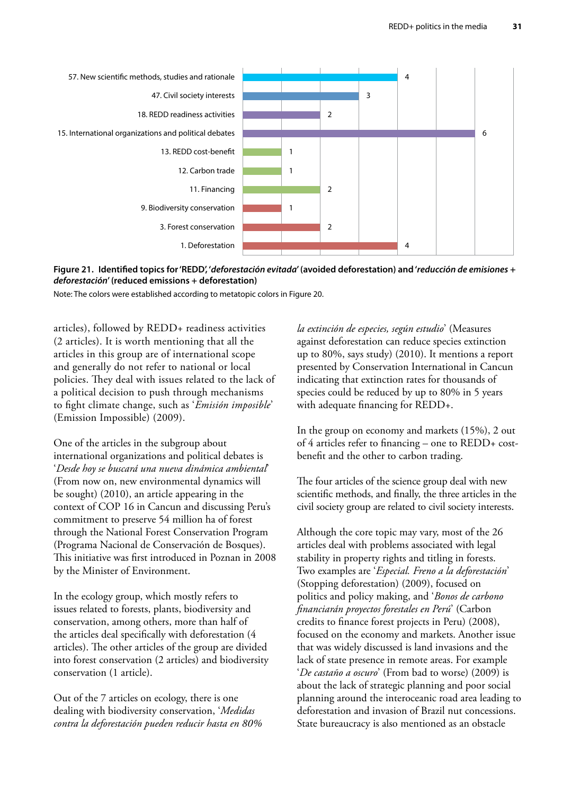<span id="page-42-0"></span>

**Figure 21. Identified topics for 'REDD', '***deforestación evitada***' (avoided deforestation) and '***reducción de emisiones* **+**  0 1 2 3 4 5 6 7*deforestación***' (reduced emissions + deforestation)**

Note: The colors were established according to metatopic colors in Figure 20.

articles), followed by REDD+ readiness activities (2 articles). It is worth mentioning that all the articles in this group are of international scope and generally do not refer to national or local policies. They deal with issues related to the lack of a political decision to push through mechanisms to fight climate change, such as '*Emisión imposible*' (Emission Impossible) (2009).

One of the articles in the subgroup about international organizations and political debates is '*Desde hoy se buscará una nueva dinámica ambiental*' (From now on, new environmental dynamics will be sought) (2010), an article appearing in the context of COP 16 in Cancun and discussing Peru's commitment to preserve 54 million ha of forest through the National Forest Conservation Program (Programa Nacional de Conservación de Bosques). This initiative was first introduced in Poznan in 2008 by the Minister of Environment.

In the ecology group, which mostly refers to issues related to forests, plants, biodiversity and conservation, among others, more than half of the articles deal specifically with deforestation (4 articles). The other articles of the group are divided into forest conservation (2 articles) and biodiversity conservation (1 article).

Out of the 7 articles on ecology, there is one dealing with biodiversity conservation, '*Medidas contra la deforestación pueden reducir hasta en 80%* *la extinción de especies, según estudio*' (Measures against deforestation can reduce species extinction up to 80%, says study) (2010). It mentions a report presented by Conservation International in Cancun indicating that extinction rates for thousands of species could be reduced by up to 80% in 5 years with adequate financing for REDD+.

In the group on economy and markets (15%), 2 out of 4 articles refer to financing – one to REDD+ costbenefit and the other to carbon trading.

The four articles of the science group deal with new scientific methods, and finally, the three articles in the civil society group are related to civil society interests.

Although the core topic may vary, most of the 26 articles deal with problems associated with legal stability in property rights and titling in forests. Two examples are '*Especial. Freno a la deforestación*' (Stopping deforestation) (2009), focused on politics and policy making, and '*Bonos de carbono financiarán proyectos forestales en Perú*' (Carbon credits to finance forest projects in Peru) (2008), focused on the economy and markets. Another issue that was widely discussed is land invasions and the lack of state presence in remote areas. For example '*De castaño a oscuro*' (From bad to worse) (2009) is about the lack of strategic planning and poor social planning around the interoceanic road area leading to deforestation and invasion of Brazil nut concessions. State bureaucracy is also mentioned as an obstacle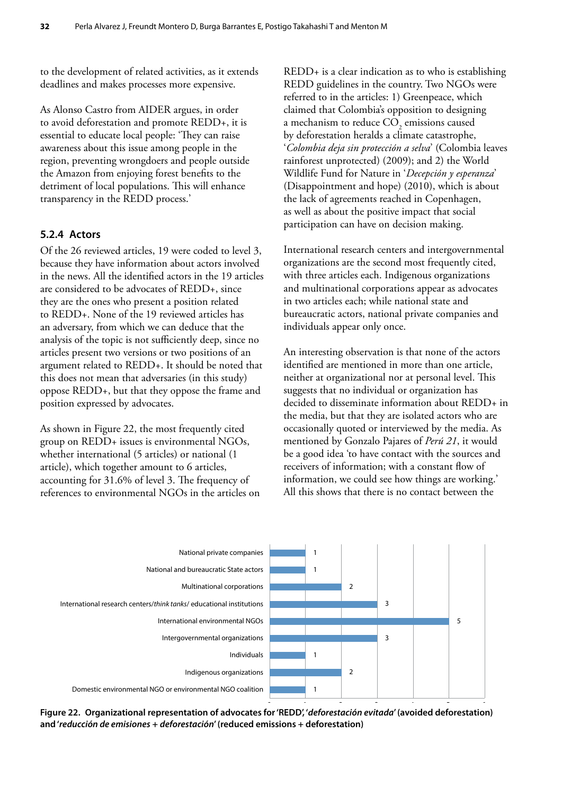<span id="page-43-0"></span>to the development of related activities, as it extends deadlines and makes processes more expensive.

As Alonso Castro from AIDER argues, in order to avoid deforestation and promote REDD+, it is essential to educate local people: 'They can raise awareness about this issue among people in the region, preventing wrongdoers and people outside the Amazon from enjoying forest benefits to the detriment of local populations. This will enhance transparency in the REDD process.'

#### **5.2.4 Actors**

Of the 26 reviewed articles, 19 were coded to level 3, because they have information about actors involved in the news. All the identified actors in the 19 articles are considered to be advocates of REDD+, since they are the ones who present a position related to REDD+. None of the 19 reviewed articles has an adversary, from which we can deduce that the analysis of the topic is not sufficiently deep, since no articles present two versions or two positions of an argument related to REDD+. It should be noted that this does not mean that adversaries (in this study) oppose REDD+, but that they oppose the frame and position expressed by advocates.

As shown in Figure 22, the most frequently cited group on REDD+ issues is environmental NGOs, whether international (5 articles) or national (1 article), which together amount to 6 articles, accounting for 31.6% of level 3. The frequency of references to environmental NGOs in the articles on

REDD+ is a clear indication as to who is establishing REDD guidelines in the country. Two NGOs were referred to in the articles: 1) Greenpeace, which claimed that Colombia's opposition to designing a mechanism to reduce  $\mathrm{CO}_2$  emissions caused by deforestation heralds a climate catastrophe, '*Colombia deja sin protección a selva*' (Colombia leaves rainforest unprotected) (2009); and 2) the World Wildlife Fund for Nature in '*Decepción y esperanza*' (Disappointment and hope) (2010), which is about the lack of agreements reached in Copenhagen, as well as about the positive impact that social participation can have on decision making.

International research centers and intergovernmental organizations are the second most frequently cited, with three articles each. Indigenous organizations and multinational corporations appear as advocates in two articles each; while national state and bureaucratic actors, national private companies and individuals appear only once.

An interesting observation is that none of the actors identified are mentioned in more than one article, neither at organizational nor at personal level. This suggests that no individual or organization has decided to disseminate information about REDD+ in the media, but that they are isolated actors who are occasionally quoted or interviewed by the media. As mentioned by Gonzalo Pajares of *Perú 21*, it would be a good idea 'to have contact with the sources and receivers of information; with a constant flow of information, we could see how things are working.' All this shows that there is no contact between the



**Figure 22. Organizational representation of advocates for 'REDD', '***deforestación evitada***' (avoided deforestation)**  0 1 2 3 4 5 6 **and '***reducción de emisiones* **+** *deforestación***' (reduced emissions + deforestation)**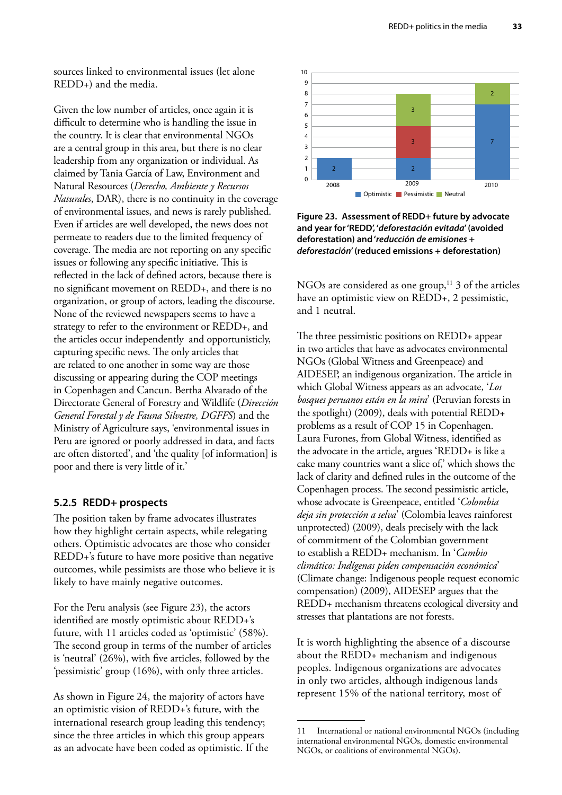<span id="page-44-0"></span>sources linked to environmental issues (let alone REDD+) and the media.

Given the low number of articles, once again it is difficult to determine who is handling the issue in the country. It is clear that environmental NGOs are a central group in this area, but there is no clear leadership from any organization or individual. As claimed by Tania García of Law, Environment and Natural Resources (*Derecho, Ambiente y Recursos Naturales*, DAR), there is no continuity in the coverage of environmental issues, and news is rarely published. Even if articles are well developed, the news does not permeate to readers due to the limited frequency of coverage. The media are not reporting on any specific issues or following any specific initiative. This is reflected in the lack of defined actors, because there is no significant movement on REDD+, and there is no organization, or group of actors, leading the discourse. None of the reviewed newspapers seems to have a strategy to refer to the environment or REDD+, and the articles occur independently and opportunisticly, capturing specific news. The only articles that are related to one another in some way are those discussing or appearing during the COP meetings in Copenhagen and Cancun. Bertha Alvarado of the Directorate General of Forestry and Wildlife (*Dirección General Forestal y de Fauna Silvestre, DGFFS*) and the Ministry of Agriculture says, 'environmental issues in Peru are ignored or poorly addressed in data, and facts are often distorted', and 'the quality [of information] is poor and there is very little of it.'

#### **5.2.5 REDD+ prospects**

The position taken by frame advocates illustrates how they highlight certain aspects, while relegating others. Optimistic advocates are those who consider REDD+'s future to have more positive than negative outcomes, while pessimists are those who believe it is likely to have mainly negative outcomes.

For the Peru analysis (see Figure 23), the actors identified are mostly optimistic about REDD+'s future, with 11 articles coded as 'optimistic' (58%). The second group in terms of the number of articles is 'neutral' (26%), with five articles, followed by the 'pessimistic' group (16%), with only three articles.

As shown in Figure 24, the majority of actors have an optimistic vision of REDD+'s future, with the international research group leading this tendency; since the three articles in which this group appears as an advocate have been coded as optimistic. If the



**Figure 23. Assessment of REDD+ future by advocate and year for 'REDD', '***deforestación evitada***' (avoided deforestation) and '***reducción de emisiones* **+**  *deforestación***' (reduced emissions + deforestation)**

NGOs are considered as one group, $^{11}$  3 of the articles have an optimistic view on REDD+, 2 pessimistic, and 1 neutral.

The three pessimistic positions on REDD+ appear in two articles that have as advocates environmental NGOs (Global Witness and Greenpeace) and AIDESEP, an indigenous organization. The article in which Global Witness appears as an advocate, '*Los bosques peruanos están en la mira*' (Peruvian forests in the spotlight) (2009), deals with potential REDD+ problems as a result of COP 15 in Copenhagen. Laura Furones, from Global Witness, identified as the advocate in the article, argues 'REDD+ is like a cake many countries want a slice of,' which shows the lack of clarity and defined rules in the outcome of the Copenhagen process. The second pessimistic article, whose advocate is Greenpeace, entitled '*Colombia deja sin protección a selva*' (Colombia leaves rainforest unprotected) (2009), deals precisely with the lack of commitment of the Colombian government to establish a REDD+ mechanism. In '*Cambio climático: Indígenas piden compensación económica*' (Climate change: Indigenous people request economic compensation) (2009), AIDESEP argues that the REDD+ mechanism threatens ecological diversity and stresses that plantations are not forests.

It is worth highlighting the absence of a discourse about the REDD+ mechanism and indigenous peoples. Indigenous organizations are advocates in only two articles, although indigenous lands represent 15% of the national territory, most of

<sup>11</sup> International or national environmental NGOs (including international environmental NGOs, domestic environmental NGOs, or coalitions of environmental NGOs).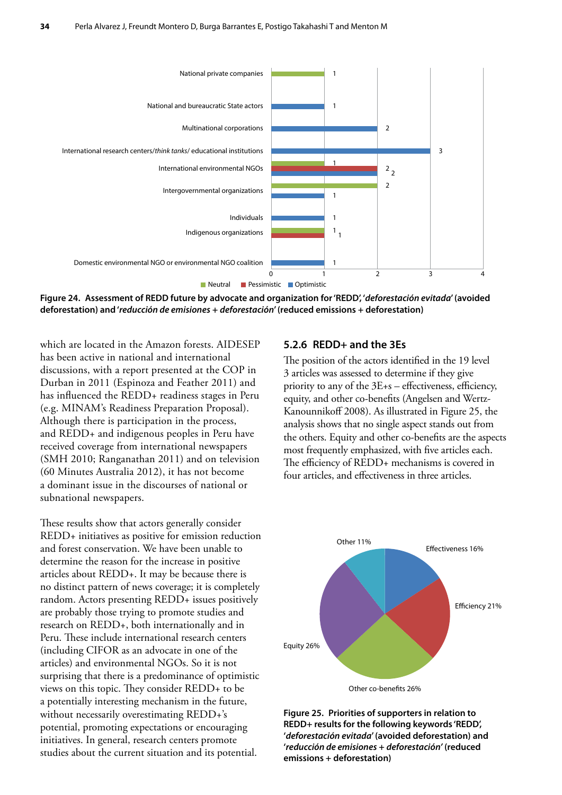<span id="page-45-0"></span>

**Figure 24. Assessment of REDD future by advocate and organization for 'REDD', '***deforestación evitada***' (avoided deforestation) and '***reducción de emisiones* **+** *deforestación***' (reduced emissions + deforestation)**

which are located in the Amazon forests. AIDESEP has been active in national and international discussions, with a report presented at the COP in Durban in 2011 (Espinoza and Feather 2011) and has influenced the REDD+ readiness stages in Peru (e.g. MINAM's Readiness Preparation Proposal). Although there is participation in the process, and REDD+ and indigenous peoples in Peru have received coverage from international newspapers (SMH 2010; Ranganathan 2011) and on television (60 Minutes Australia 2012), it has not become a dominant issue in the discourses of national or subnational newspapers.

These results show that actors generally consider REDD+ initiatives as positive for emission reduction and forest conservation. We have been unable to determine the reason for the increase in positive articles about REDD+. It may be because there is no distinct pattern of news coverage; it is completely random. Actors presenting REDD+ issues positively are probably those trying to promote studies and research on REDD+, both internationally and in Peru. These include international research centers (including CIFOR as an advocate in one of the articles) and environmental NGOs. So it is not surprising that there is a predominance of optimistic views on this topic. They consider REDD+ to be a potentially interesting mechanism in the future, without necessarily overestimating REDD+'s potential, promoting expectations or encouraging initiatives. In general, research centers promote studies about the current situation and its potential.

#### **5.2.6 REDD+ and the 3Es**

The position of the actors identified in the 19 level 3 articles was assessed to determine if they give priority to any of the 3E+s – effectiveness, efficiency, equity, and other co-benefits (Angelsen and Wertz-Kanounnikoff 2008). As illustrated in Figure 25, the analysis shows that no single aspect stands out from the others. Equity and other co-benefits are the aspects most frequently emphasized, with five articles each. The efficiency of REDD+ mechanisms is covered in four articles, and effectiveness in three articles.



**Figure 25. Priorities of supporters in relation to REDD+ results for the following keywords 'REDD', '***deforestación evitada***' (avoided deforestation) and '***reducción de emisiones* **+** *deforestación'* **(reduced emissions + deforestation)**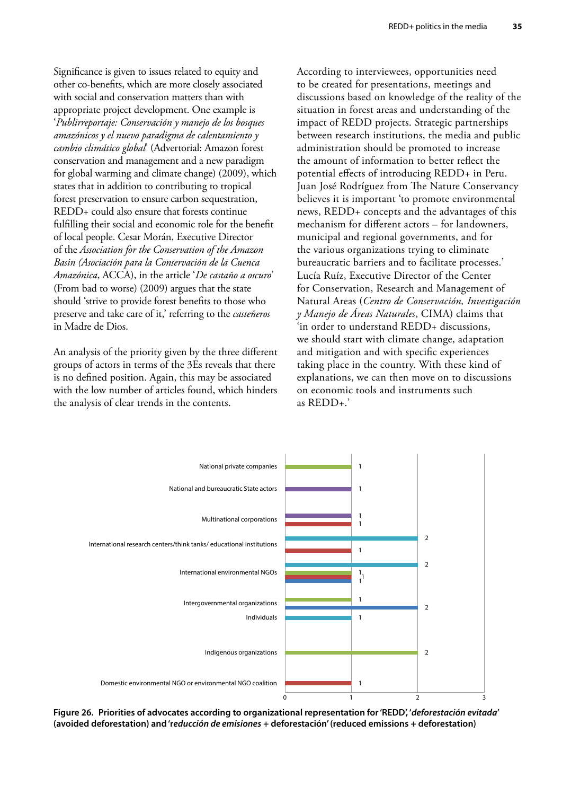<span id="page-46-0"></span>Significance is given to issues related to equity and other co-benefits, which are more closely associated with social and conservation matters than with appropriate project development. One example is '*Publirreportaje: Conservación y manejo de los bosques amazónicos y el nuevo paradigma de calentamiento y cambio climático global*' (Advertorial: Amazon forest conservation and management and a new paradigm for global warming and climate change) (2009), which states that in addition to contributing to tropical forest preservation to ensure carbon sequestration, REDD+ could also ensure that forests continue fulfilling their social and economic role for the benefit of local people. Cesar Morán, Executive Director of the *Association for the Conservation of the Amazon Basin (Asociación para la Conservación de la Cuenca Amazónica*, ACCA), in the article '*De castaño a oscuro*' (From bad to worse) (2009) argues that the state should 'strive to provide forest benefits to those who preserve and take care of it,' referring to the *casteñeros* in Madre de Dios.

An analysis of the priority given by the three different groups of actors in terms of the 3Es reveals that there is no defined position. Again, this may be associated with the low number of articles found, which hinders the analysis of clear trends in the contents.

According to interviewees, opportunities need to be created for presentations, meetings and discussions based on knowledge of the reality of the situation in forest areas and understanding of the impact of REDD projects. Strategic partnerships between research institutions, the media and public administration should be promoted to increase the amount of information to better reflect the potential effects of introducing REDD+ in Peru. Juan José Rodríguez from The Nature Conservancy believes it is important 'to promote environmental news, REDD+ concepts and the advantages of this mechanism for different actors – for landowners, municipal and regional governments, and for the various organizations trying to eliminate bureaucratic barriers and to facilitate processes.' Lucía Ruíz, Executive Director of the Center for Conservation, Research and Management of Natural Areas (*Centro de Conservación, Investigación y Manejo de Áreas Naturales*, CIMA) claims that 'in order to understand REDD+ discussions, we should start with climate change, adaptation and mitigation and with specific experiences taking place in the country. With these kind of explanations, we can then move on to discussions on economic tools and instruments such as REDD+.'



Figure 26. Priorities of advocates according to organizational representation for 'REDD', '*deforestación evitada'* **(avoided deforestation) and 'r***educción de emisiones* **+ deforestación' (reduced emissions + deforestation)**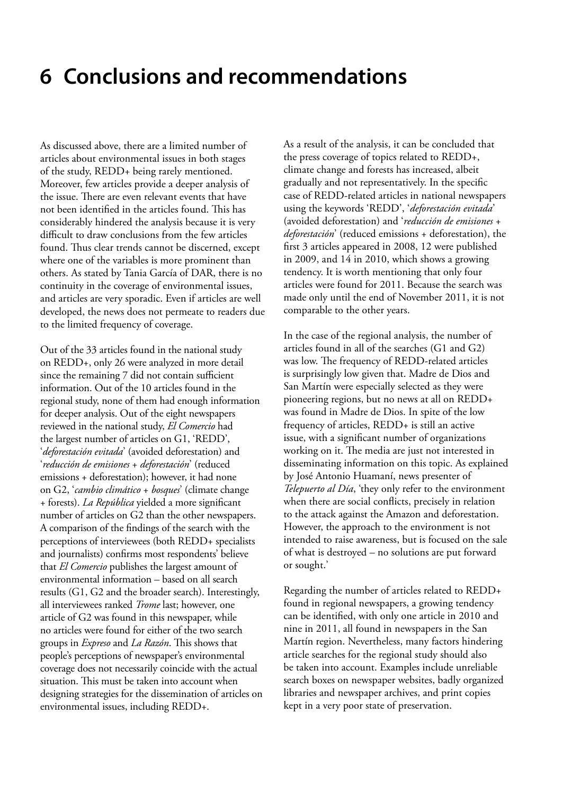### <span id="page-47-0"></span>**6 Conclusions and recommendations**

As discussed above, there are a limited number of articles about environmental issues in both stages of the study, REDD+ being rarely mentioned. Moreover, few articles provide a deeper analysis of the issue. There are even relevant events that have not been identified in the articles found. This has considerably hindered the analysis because it is very difficult to draw conclusions from the few articles found. Thus clear trends cannot be discerned, except where one of the variables is more prominent than others. As stated by Tania García of DAR, there is no continuity in the coverage of environmental issues, and articles are very sporadic. Even if articles are well developed, the news does not permeate to readers due to the limited frequency of coverage.

Out of the 33 articles found in the national study on REDD+, only 26 were analyzed in more detail since the remaining 7 did not contain sufficient information. Out of the 10 articles found in the regional study, none of them had enough information for deeper analysis. Out of the eight newspapers reviewed in the national study, *El Comercio* had the largest number of articles on G1, 'REDD', '*deforestación evitada*' (avoided deforestation) and '*reducción de emisiones* + *deforestación*' (reduced emissions + deforestation); however, it had none on G2, '*cambio climático* + *bosques*' (climate change + forests). *La República* yielded a more significant number of articles on G2 than the other newspapers. A comparison of the findings of the search with the perceptions of interviewees (both REDD+ specialists and journalists) confirms most respondents' believe that *El Comercio* publishes the largest amount of environmental information – based on all search results (G1, G2 and the broader search). Interestingly, all interviewees ranked *Trome* last; however, one article of G2 was found in this newspaper, while no articles were found for either of the two search groups in *Expreso* and *La Razón*. This shows that people's perceptions of newspaper's environmental coverage does not necessarily coincide with the actual situation. This must be taken into account when designing strategies for the dissemination of articles on environmental issues, including REDD+.

As a result of the analysis, it can be concluded that the press coverage of topics related to REDD+, climate change and forests has increased, albeit gradually and not representatively. In the specific case of REDD-related articles in national newspapers using the keywords 'REDD', '*deforestación evitada*' (avoided deforestation) and '*reducción de emisiones* + *deforestación*' (reduced emissions + deforestation), the first 3 articles appeared in 2008, 12 were published in 2009, and 14 in 2010, which shows a growing tendency. It is worth mentioning that only four articles were found for 2011. Because the search was made only until the end of November 2011, it is not comparable to the other years.

In the case of the regional analysis, the number of articles found in all of the searches (G1 and G2) was low. The frequency of REDD-related articles is surprisingly low given that. Madre de Dios and San Martín were especially selected as they were pioneering regions, but no news at all on REDD+ was found in Madre de Dios. In spite of the low frequency of articles, REDD+ is still an active issue, with a significant number of organizations working on it. The media are just not interested in disseminating information on this topic. As explained by José Antonio Huamaní, news presenter of *Telepuerto al Día*, 'they only refer to the environment when there are social conflicts, precisely in relation to the attack against the Amazon and deforestation. However, the approach to the environment is not intended to raise awareness, but is focused on the sale of what is destroyed – no solutions are put forward or sought.'

Regarding the number of articles related to REDD+ found in regional newspapers, a growing tendency can be identified, with only one article in 2010 and nine in 2011, all found in newspapers in the San Martín region. Nevertheless, many factors hindering article searches for the regional study should also be taken into account. Examples include unreliable search boxes on newspaper websites, badly organized libraries and newspaper archives, and print copies kept in a very poor state of preservation.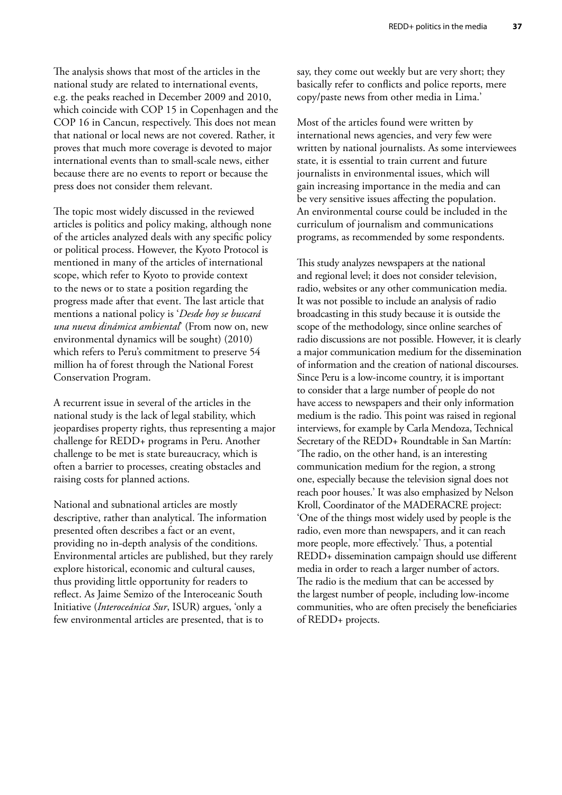The analysis shows that most of the articles in the national study are related to international events, e.g. the peaks reached in December 2009 and 2010, which coincide with COP 15 in Copenhagen and the COP 16 in Cancun, respectively. This does not mean that national or local news are not covered. Rather, it proves that much more coverage is devoted to major international events than to small-scale news, either because there are no events to report or because the press does not consider them relevant.

The topic most widely discussed in the reviewed articles is politics and policy making, although none of the articles analyzed deals with any specific policy or political process. However, the Kyoto Protocol is mentioned in many of the articles of international scope, which refer to Kyoto to provide context to the news or to state a position regarding the progress made after that event. The last article that mentions a national policy is '*Desde hoy se buscará una nueva dinámica ambiental*' (From now on, new environmental dynamics will be sought) (2010) which refers to Peru's commitment to preserve 54 million ha of forest through the National Forest Conservation Program.

A recurrent issue in several of the articles in the national study is the lack of legal stability, which jeopardises property rights, thus representing a major challenge for REDD+ programs in Peru. Another challenge to be met is state bureaucracy, which is often a barrier to processes, creating obstacles and raising costs for planned actions.

National and subnational articles are mostly descriptive, rather than analytical. The information presented often describes a fact or an event, providing no in-depth analysis of the conditions. Environmental articles are published, but they rarely explore historical, economic and cultural causes, thus providing little opportunity for readers to reflect. As Jaime Semizo of the Interoceanic South Initiative (*Interoceánica Sur*, ISUR) argues, 'only a few environmental articles are presented, that is to

say, they come out weekly but are very short; they basically refer to conflicts and police reports, mere copy/paste news from other media in Lima.'

Most of the articles found were written by international news agencies, and very few were written by national journalists. As some interviewees state, it is essential to train current and future journalists in environmental issues, which will gain increasing importance in the media and can be very sensitive issues affecting the population. An environmental course could be included in the curriculum of journalism and communications programs, as recommended by some respondents.

This study analyzes newspapers at the national and regional level; it does not consider television, radio, websites or any other communication media. It was not possible to include an analysis of radio broadcasting in this study because it is outside the scope of the methodology, since online searches of radio discussions are not possible. However, it is clearly a major communication medium for the dissemination of information and the creation of national discourses. Since Peru is a low-income country, it is important to consider that a large number of people do not have access to newspapers and their only information medium is the radio. This point was raised in regional interviews, for example by Carla Mendoza, Technical Secretary of the REDD+ Roundtable in San Martín: 'The radio, on the other hand, is an interesting communication medium for the region, a strong one, especially because the television signal does not reach poor houses.' It was also emphasized by Nelson Kroll, Coordinator of the MADERACRE project: 'One of the things most widely used by people is the radio, even more than newspapers, and it can reach more people, more effectively.' Thus, a potential REDD+ dissemination campaign should use different media in order to reach a larger number of actors. The radio is the medium that can be accessed by the largest number of people, including low-income communities, who are often precisely the beneficiaries of REDD+ projects.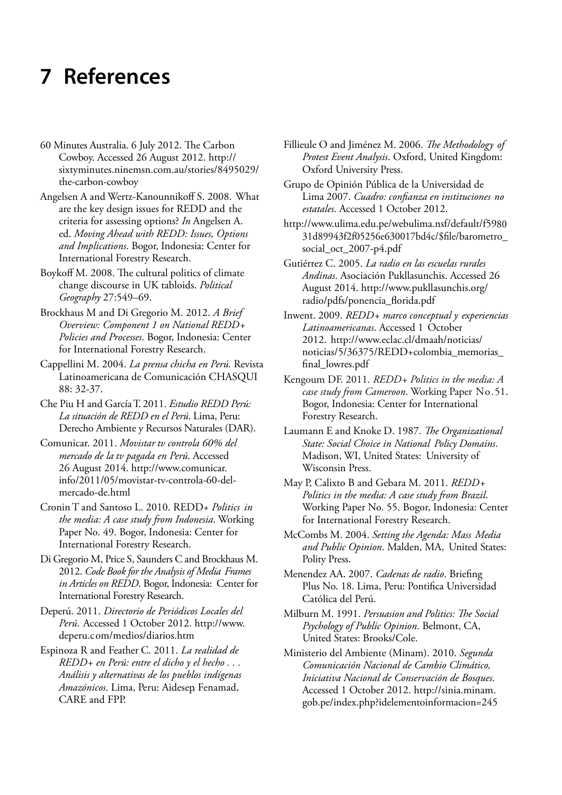# <span id="page-49-0"></span>**7 References**

- 60 Minutes Australia. 6 July 2012. The Carbon Cowboy. Accessed 26 August 2012. http:// sixtyminutes.ninemsn.com.au/stories/8495029/ the-carbon-cowboy
- Angelsen A and Wertz-Kanounnikoff S. 2008. What are the key design issues for REDD and the criteria for assessing options? *In* Angelsen A. ed. *Moving Ahead with REDD: Issues, Options and Implications*. Bogor, Indonesia: Center for International Forestry Research.
- Boykoff M. 2008. The cultural politics of climate change discourse in UK tabloids. *Political Geography* 27:549–69.
- Brockhaus M and Di Gregorio M. 2012. *A Brief Overview: Component 1 on National REDD+ Policies and Processes*. Bogor, Indonesia: Center for International Forestry Research.
- Cappellini M. 2004. *La prensa chicha en Perú.* Revista Latinoamericana de Comunicación CHASQUI 88: 32-37.
- Che Piu H and García T. 2011. *Estudio REDD Perú: La situación de REDD en el Perú*. Lima, Peru: Derecho Ambiente y Recursos Naturales (DAR).
- Comunicar. 2011. *Movistar tv controla 60% del mercado de la tv pagada en Perú*. Accessed 26 August 2014. http://www.comunicar. info/2011/05/movistar-tv-controla-60-delmercado-de.html
- Cronin T and Santoso L. 2010. REDD+ *Politics in the media: A case study from Indonesia*. Working Paper No. 49. Bogor, Indonesia: Center for International Forestry Research.
- Di Gregorio M, Price S, Saunders C and Brockhaus M. 2012. *Code Book for the Analysis of Media Frames in Articles on REDD*. Bogor, Indonesia: Center for International Forestry Research.
- Deperú. 2011. *Directorio de Periódicos Locales del Perú*. Accessed 1 October 2012. http://www. deperu.com/medios/diarios.htm
- Espinoza R and Feather C. 2011. *La realidad de REDD+ en Perú: entre el dicho y el hecho . . . Análisis y alternativas de los pueblos indígenas Amazónicos*. Lima, Peru: Aidesep, Fenamad, CARE and FPP.
- Fillieule O and Jiménez M. 2006. *The Methodology of Protest Event Analysis*. Oxford, United Kingdom: Oxford University Press.
- Grupo de Opinión Pública de la Universidad de Lima 2007. *Cuadro: confianza en instituciones no estatales*. Accessed 1 October 2012.
- http://www.ulima.edu.pe/webulima.nsf/default/f5980 31d89943f2f05256e630017bd4c/\$file/barometro\_ social\_oct\_2007-p4.pdf
- Gutiérrez C. 2005. *La radio en las escuelas rurales Andinas*. Asociación Pukllasunchis. Accessed 26 [August 2014. http://www.pukllasunchis.org/](http://www.pukllasunchis.org/) radio/pdfs/ponencia\_florida.pdf
- Inwent. 2009. *REDD+ marco conceptual y experiencias Latinoamericanas*. Accessed 1 October 2012. http://www.eclac.cl/dmaah/noticias/ noticias/5/36375/REDD+colombia\_memorias\_ final\_lowres.pdf
- Kengoum DF. 2011. *REDD+ Politics in the media: A case study from Cameroon*. Working Paper No.51. Bogor, Indonesia: Center for International Forestry Research.
- Laumann E and Knoke D. 1987. *The Organizational State: Social Choice in National Policy Domains*. Madison, WI, United States: University of Wisconsin Press.
- May P, Calixto B and Gebara M. 2011. *REDD+ Politics in the media: A case study from Brazil*. Working Paper No. 55. Bogor, Indonesia: Center for International Forestry Research.
- McCombs M. 2004. *Setting the Agenda: Mass Media and Public Opinion*. Malden, MA, United States: Polity Press.
- Menendez AA. 2007. *Cadenas de radio*. Briefing Plus No. 18. Lima, Peru: Pontifica Universidad Católica del Perú.
- Milburn M. 1991. *Persuasion and Politics: The Social Psychology of Public Opinion*. Belmont, CA, United States: Brooks/Cole.
- Ministerio del Ambiente (Minam). 2010. *Segunda Comunicación Nacional de Cambio Climático, Iniciativa Nacional de Conservación de Bosques*. Accessed 1 October 2012. http://sinia.minam. gob.pe/index.php?idelementoinformacion=245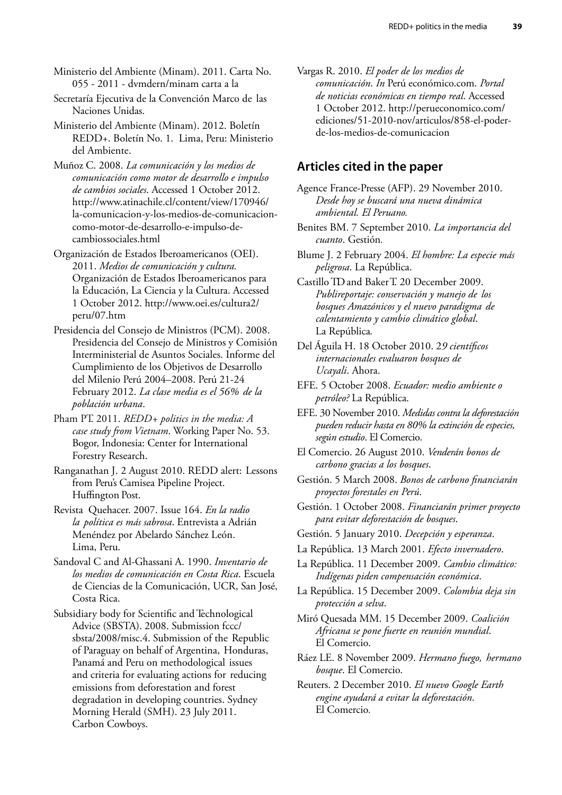Ministerio del Ambiente (Minam). 2011. Carta No. 055 - 2011 - dvmdern/minam carta a la

Secretaría Ejecutiva de la Convención Marco de las Naciones Unidas.

Ministerio del Ambiente (Minam). 2012. Boletín REDD+. Boletín No. 1. Lima, Peru: Ministerio del Ambiente.

Muñoz C. 2008. *La comunicación y los medios de comunicación como motor de desarrollo e impulso de cambios sociales*. Accessed 1 October 2012. <http://www.atinachile.cl/content/view/170946/> la-comunicacion-y-los-medios-de-comunicacioncomo-motor-de-desarrollo-e-impulso-decambiossociales.html

Organización de Estados Iberoamericanos (OEI). 2011. *Medios de comunicación y cultura.*  Organización de Estados Iberoamericanos para la Educación, La Ciencia y la Cultura. Accessed 1 [October 2012. http://www.oei.es/cultura2/](http://www.oei.es/cultura2/) peru/07.htm

Presidencia del Consejo de Ministros (PCM). 2008. Presidencia del Consejo de Ministros y Comisión Interministerial de Asuntos Sociales. Informe del Cumplimiento de los Objetivos de Desarrollo del Milenio Perú 2004–2008. Perú 21-24 February 2012. *La clase media es el 56% de la población urbana*.

Pham PT. 2011. *REDD*+ politics in the media: A *case study from Vietnam*. Working Paper No. 53. Bogor, Indonesia: Center for International Forestry Research.

Ranganathan J. 2 August 2010. REDD alert: Lessons from Peru's Camisea Pipeline Project. Huffington Post.

Revista Quehacer. 2007. Issue 164. *En la radio la política es más sabrosa*. Entrevista a Adrián Menéndez por Abelardo Sánchez León. Lima, Peru.

Sandoval C and Al-Ghassani A. 1990. *Inventario de los medios de comunicación en Costa Rica*. Escuela de Ciencias de la Comunicación, UCR, San José, Costa Rica.

Subsidiary body for Scientific and Technological Advice (SBSTA). 2008. Submission fccc/ sbsta/2008/misc.4. Submission of the Republic of Paraguay on behalf of Argentina, Honduras, Panamá and Peru on methodological issues and criteria for evaluating actions for reducing emissions from deforestation and forest degradation in developing countries. Sydney Morning Herald (SMH). 23 July 2011. Carbon Cowboys.

Vargas R. 2010. *El poder de los medios de comunicación*. *In* Perú económico.com. *Portal de noticias económicas en tiempo real*. Accessed 1 October 2012. http://perueconomico.com/ ediciones/51-2010-nov/articulos/858-el-poderde-los-medios-de-comunicacion

### **Articles cited in the paper**

Agence France-Presse (AFP). 29 November 2010. *Desde hoy se buscará una nueva dinámica ambiental. El Peruano.*

Benites BM. 7 September 2010. *La importancia del cuanto*. Gestión*.*

Blume J. 2 February 2004. *El hombre: La especie más peligrosa*. La República.

Castillo TD and Baker T. 20 December 2009. *Publireportaje: conservación y manejo de los bosques Amazónicos y el nuevo paradigma de calentamiento y cambio climático global*. La República*.*

EFE. 5 October 2008. *Ecuador: medio ambiente o petróleo?* La República.

EFE. 30 November 2010. *Medidas contra la deforestación pueden reducir hasta en 80% la extinción de especies, según estudio*. El Comercio.

El Comercio. 26 August 2010. *Venderán bonos de carbono gracias a los bosques*.

Gestión. 5 March 2008. *Bonos de carbono financiarán proyectos forestales en Perú*.

Gestión. 1 October 2008. *Financiarán primer proyecto para evitar deforestación de bosques*.

- Gestión. 5 January 2010. *Decepción y esperanza*.
- La República. 13 March 2001. *Efecto invernadero*.

La República. 11 December 2009. *Cambio climático: Indígenas piden compensación económica*.

La República. 15 December 2009. *Colombia deja sin protección a selva*.

Miró Quesada MM. 15 December 2009. *Coalición Africana se pone fuerte en reunión mundial*. El Comercio.

Ráez LE. 8 November 2009. *Hermano fuego, hermano bosque*. El Comercio.

Reuters. 2 December 2010. *El nuevo Google Earth engine ayudará a evitar la deforestación*. El Comercio*.*

Del Águila H. 18 October 2010. 2*9 científicos internacionales evaluaron bosques de Ucayali*. Ahora.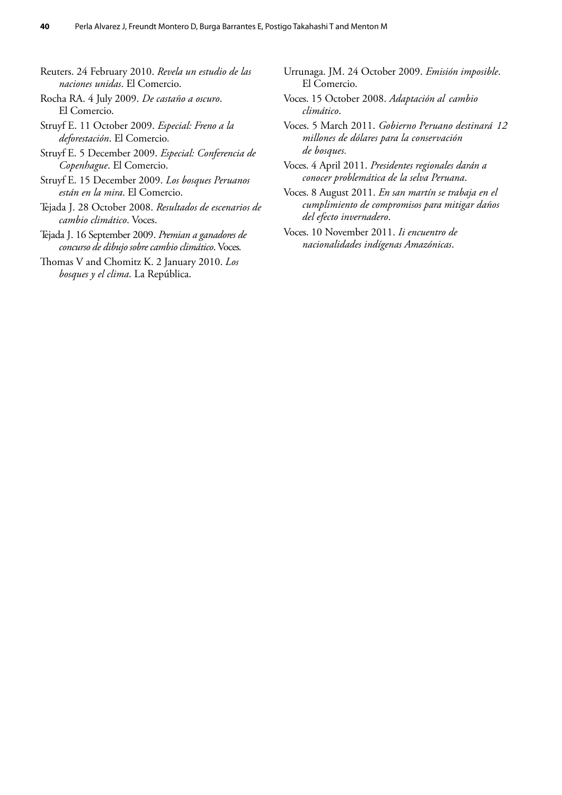- Reuters. 24 February 2010. *Revela un estudio de las naciones unidas*. El Comercio.
- Rocha RA. 4 July 2009. *De castaño a oscuro*. El Comercio.
- Struyf E. 11 October 2009. *Especial: Freno a la deforestación*. El Comercio*.*
- Struyf E. 5 December 2009. *Especial: Conferencia de Copenhague*. El Comercio.
- Struyf E. 15 December 2009. *Los bosques Peruanos están en la mira*. El Comercio.
- Tejada J. 28 October 2008. *Resultados de escenarios de cambio climático*. Voces.
- Tejada J. 16 September 2009. *Premian a ganadores de concurso de dibujo sobre cambio climático*. Voces*.*
- Thomas V and Chomitz K. 2 January 2010. *Los bosques y el clima*. La República.
- Urrunaga. JM. 24 October 2009. *Emisión imposible*. El Comercio.
- Voces. 15 October 2008. *Adaptación al cambio climático*.
- Voces. 5 March 2011. *Gobierno Peruano destinará 12 millones de dólares para la conservación de bosques.*
- Voces. 4 April 2011. *Presidentes regionales darán a conocer problemática de la selva Peruana*.
- Voces. 8 August 2011. *En san martín se trabaja en el cumplimiento de compromisos para mitigar daños del efecto invernadero*.
- Voces. 10 November 2011. *Ii encuentro de nacionalidades indígenas Amazónicas*.